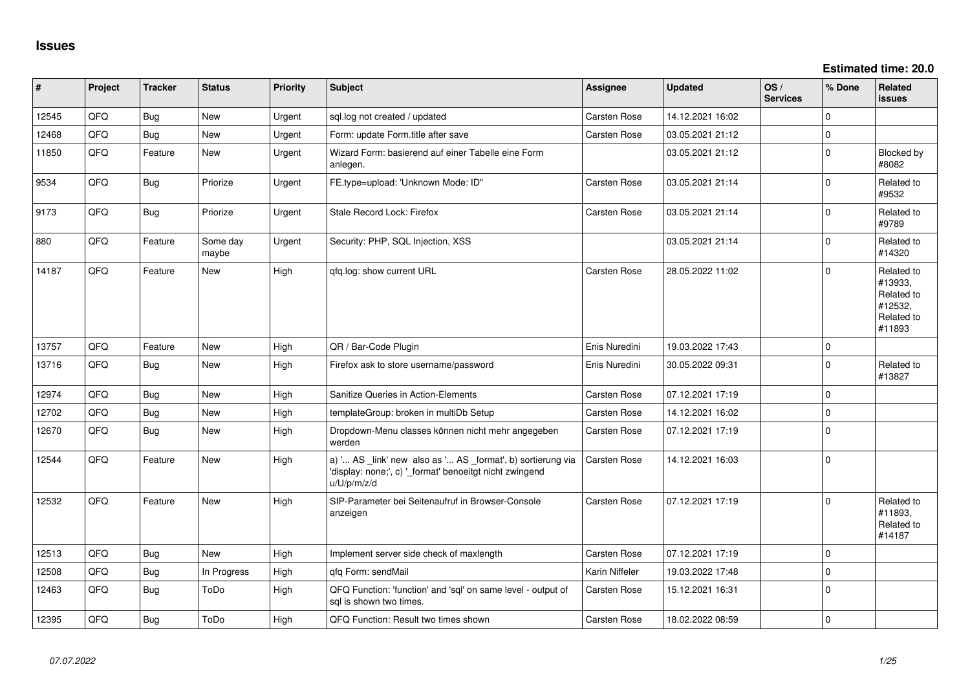**Estimated time: 20.0**

| #     | Project | <b>Tracker</b> | <b>Status</b>     | <b>Priority</b> | <b>Subject</b>                                                                                                                        | <b>Assignee</b>     | <b>Updated</b>   | OS/<br><b>Services</b> | % Done      | <b>Related</b><br><b>issues</b>                                        |
|-------|---------|----------------|-------------------|-----------------|---------------------------------------------------------------------------------------------------------------------------------------|---------------------|------------------|------------------------|-------------|------------------------------------------------------------------------|
| 12545 | QFQ     | Bug            | New               | Urgent          | sql.log not created / updated                                                                                                         | Carsten Rose        | 14.12.2021 16:02 |                        | $\Omega$    |                                                                        |
| 12468 | QFQ     | Bug            | New               | Urgent          | Form: update Form.title after save                                                                                                    | Carsten Rose        | 03.05.2021 21:12 |                        | $\mathbf 0$ |                                                                        |
| 11850 | QFQ     | Feature        | New               | Urgent          | Wizard Form: basierend auf einer Tabelle eine Form<br>anlegen.                                                                        |                     | 03.05.2021 21:12 |                        | $\Omega$    | Blocked by<br>#8082                                                    |
| 9534  | QFQ     | Bug            | Priorize          | Urgent          | FE.type=upload: 'Unknown Mode: ID"                                                                                                    | Carsten Rose        | 03.05.2021 21:14 |                        | $\mathbf 0$ | Related to<br>#9532                                                    |
| 9173  | QFQ     | Bug            | Priorize          | Urgent          | Stale Record Lock: Firefox                                                                                                            | Carsten Rose        | 03.05.2021 21:14 |                        | $\mathbf 0$ | Related to<br>#9789                                                    |
| 880   | QFQ     | Feature        | Some day<br>maybe | Urgent          | Security: PHP, SQL Injection, XSS                                                                                                     |                     | 03.05.2021 21:14 |                        | $\mathbf 0$ | Related to<br>#14320                                                   |
| 14187 | QFQ     | Feature        | <b>New</b>        | High            | qfq.log: show current URL                                                                                                             | Carsten Rose        | 28.05.2022 11:02 |                        | $\Omega$    | Related to<br>#13933,<br>Related to<br>#12532,<br>Related to<br>#11893 |
| 13757 | QFQ     | Feature        | <b>New</b>        | High            | QR / Bar-Code Plugin                                                                                                                  | Enis Nuredini       | 19.03.2022 17:43 |                        | $\mathbf 0$ |                                                                        |
| 13716 | QFQ     | Bug            | <b>New</b>        | High            | Firefox ask to store username/password                                                                                                | Enis Nuredini       | 30.05.2022 09:31 |                        | $\Omega$    | Related to<br>#13827                                                   |
| 12974 | QFQ     | <b>Bug</b>     | <b>New</b>        | High            | Sanitize Queries in Action-Elements                                                                                                   | Carsten Rose        | 07.12.2021 17:19 |                        | $\Omega$    |                                                                        |
| 12702 | QFQ     | <b>Bug</b>     | <b>New</b>        | High            | templateGroup: broken in multiDb Setup                                                                                                | Carsten Rose        | 14.12.2021 16:02 |                        | $\mathbf 0$ |                                                                        |
| 12670 | QFQ     | Bug            | New               | High            | Dropdown-Menu classes können nicht mehr angegeben<br>werden                                                                           | Carsten Rose        | 07.12.2021 17:19 |                        | $\mathbf 0$ |                                                                        |
| 12544 | QFQ     | Feature        | <b>New</b>        | High            | a) ' AS _link' new also as ' AS _format', b) sortierung via<br>'display: none;', c) '_format' benoeitgt nicht zwingend<br>u/U/p/m/z/d | Carsten Rose        | 14.12.2021 16:03 |                        | $\mathbf 0$ |                                                                        |
| 12532 | QFQ     | Feature        | New               | High            | SIP-Parameter bei Seitenaufruf in Browser-Console<br>anzeigen                                                                         | Carsten Rose        | 07.12.2021 17:19 |                        | $\mathbf 0$ | Related to<br>#11893,<br>Related to<br>#14187                          |
| 12513 | QFQ     | Bug            | <b>New</b>        | High            | Implement server side check of maxlength                                                                                              | Carsten Rose        | 07.12.2021 17:19 |                        | $\mathbf 0$ |                                                                        |
| 12508 | QFQ     | <b>Bug</b>     | In Progress       | High            | gfg Form: sendMail                                                                                                                    | Karin Niffeler      | 19.03.2022 17:48 |                        | $\mathbf 0$ |                                                                        |
| 12463 | QFQ     | Bug            | ToDo              | High            | QFQ Function: 'function' and 'sql' on same level - output of<br>sql is shown two times.                                               | <b>Carsten Rose</b> | 15.12.2021 16:31 |                        | $\mathbf 0$ |                                                                        |
| 12395 | QFQ     | Bug            | ToDo              | High            | QFQ Function: Result two times shown                                                                                                  | <b>Carsten Rose</b> | 18.02.2022 08:59 |                        | $\mathbf 0$ |                                                                        |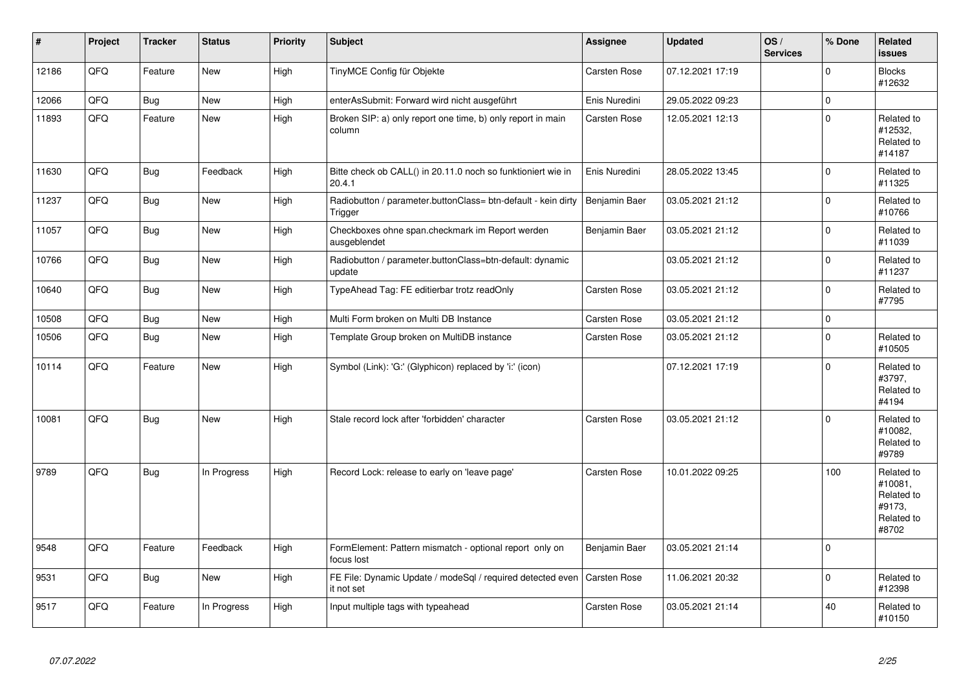| #     | Project | <b>Tracker</b> | <b>Status</b> | <b>Priority</b> | <b>Subject</b>                                                           | <b>Assignee</b>     | <b>Updated</b>   | OS/<br><b>Services</b> | % Done      | <b>Related</b><br><b>issues</b>                                      |
|-------|---------|----------------|---------------|-----------------|--------------------------------------------------------------------------|---------------------|------------------|------------------------|-------------|----------------------------------------------------------------------|
| 12186 | QFQ     | Feature        | <b>New</b>    | High            | TinyMCE Config für Objekte                                               | <b>Carsten Rose</b> | 07.12.2021 17:19 |                        | $\Omega$    | <b>Blocks</b><br>#12632                                              |
| 12066 | QFQ     | Bug            | <b>New</b>    | High            | enterAsSubmit: Forward wird nicht ausgeführt                             | Enis Nuredini       | 29.05.2022 09:23 |                        | $\pmb{0}$   |                                                                      |
| 11893 | QFQ     | Feature        | <b>New</b>    | High            | Broken SIP: a) only report one time, b) only report in main<br>column    | <b>Carsten Rose</b> | 12.05.2021 12:13 |                        | $\mathbf 0$ | Related to<br>#12532,<br>Related to<br>#14187                        |
| 11630 | QFQ     | Bug            | Feedback      | High            | Bitte check ob CALL() in 20.11.0 noch so funktioniert wie in<br>20.4.1   | Enis Nuredini       | 28.05.2022 13:45 |                        | $\mathbf 0$ | Related to<br>#11325                                                 |
| 11237 | QFQ     | <b>Bug</b>     | <b>New</b>    | High            | Radiobutton / parameter.buttonClass= btn-default - kein dirty<br>Trigger | Benjamin Baer       | 03.05.2021 21:12 |                        | $\mathbf 0$ | Related to<br>#10766                                                 |
| 11057 | QFQ     | Bug            | New           | High            | Checkboxes ohne span.checkmark im Report werden<br>ausgeblendet          | Benjamin Baer       | 03.05.2021 21:12 |                        | $\mathbf 0$ | Related to<br>#11039                                                 |
| 10766 | QFQ     | Bug            | <b>New</b>    | High            | Radiobutton / parameter.buttonClass=btn-default: dynamic<br>update       |                     | 03.05.2021 21:12 |                        | $\mathbf 0$ | Related to<br>#11237                                                 |
| 10640 | QFQ     | Bug            | <b>New</b>    | High            | TypeAhead Tag: FE editierbar trotz readOnly                              | <b>Carsten Rose</b> | 03.05.2021 21:12 |                        | $\Omega$    | Related to<br>#7795                                                  |
| 10508 | QFQ     | Bug            | <b>New</b>    | High            | Multi Form broken on Multi DB Instance                                   | <b>Carsten Rose</b> | 03.05.2021 21:12 |                        | $\pmb{0}$   |                                                                      |
| 10506 | QFQ     | Bug            | New           | High            | Template Group broken on MultiDB instance                                | <b>Carsten Rose</b> | 03.05.2021 21:12 |                        | $\mathbf 0$ | Related to<br>#10505                                                 |
| 10114 | QFQ     | Feature        | New           | High            | Symbol (Link): 'G:' (Glyphicon) replaced by 'i:' (icon)                  |                     | 07.12.2021 17:19 |                        | $\mathbf 0$ | Related to<br>#3797.<br>Related to<br>#4194                          |
| 10081 | QFQ     | Bug            | <b>New</b>    | High            | Stale record lock after 'forbidden' character                            | <b>Carsten Rose</b> | 03.05.2021 21:12 |                        | $\mathbf 0$ | Related to<br>#10082,<br>Related to<br>#9789                         |
| 9789  | QFQ     | Bug            | In Progress   | High            | Record Lock: release to early on 'leave page'                            | <b>Carsten Rose</b> | 10.01.2022 09:25 |                        | 100         | Related to<br>#10081.<br>Related to<br>#9173.<br>Related to<br>#8702 |
| 9548  | QFQ     | Feature        | Feedback      | High            | FormElement: Pattern mismatch - optional report only on<br>focus lost    | Benjamin Baer       | 03.05.2021 21:14 |                        | $\Omega$    |                                                                      |
| 9531  | QFQ     | Bug            | <b>New</b>    | High            | FE File: Dynamic Update / modeSql / required detected even<br>it not set | Carsten Rose        | 11.06.2021 20:32 |                        | $\pmb{0}$   | Related to<br>#12398                                                 |
| 9517  | QFQ     | Feature        | In Progress   | High            | Input multiple tags with typeahead                                       | Carsten Rose        | 03.05.2021 21:14 |                        | 40          | Related to<br>#10150                                                 |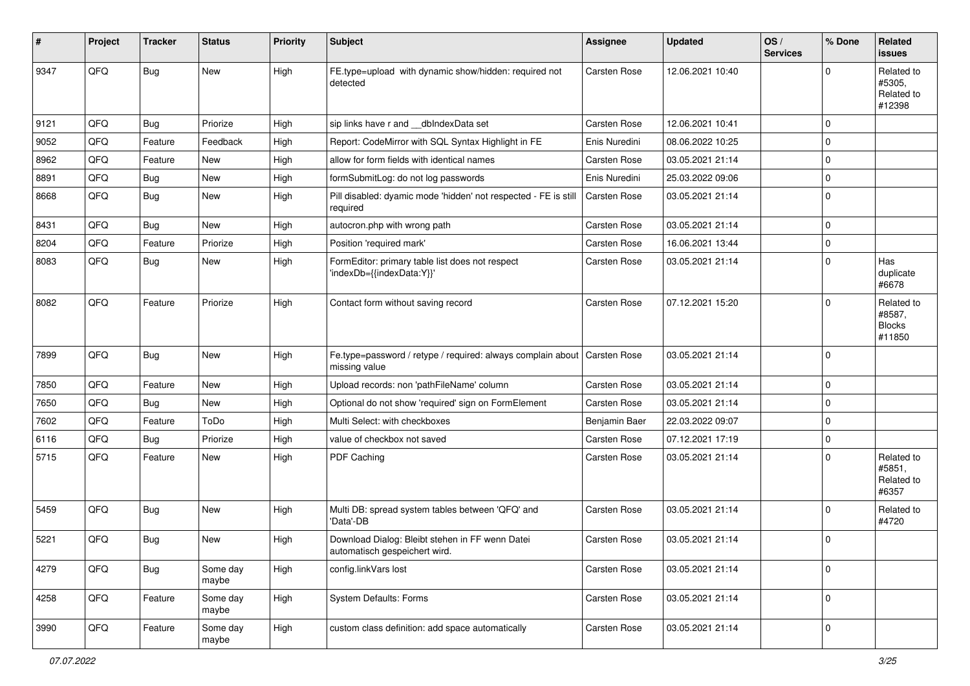| #    | Project | <b>Tracker</b> | <b>Status</b>     | <b>Priority</b> | <b>Subject</b>                                                                   | <b>Assignee</b>     | <b>Updated</b>   | OS/<br><b>Services</b> | % Done      | Related<br>issues                               |
|------|---------|----------------|-------------------|-----------------|----------------------------------------------------------------------------------|---------------------|------------------|------------------------|-------------|-------------------------------------------------|
| 9347 | QFQ     | <b>Bug</b>     | <b>New</b>        | High            | FE.type=upload with dynamic show/hidden: required not<br>detected                | Carsten Rose        | 12.06.2021 10:40 |                        | $\Omega$    | Related to<br>#5305,<br>Related to<br>#12398    |
| 9121 | QFQ     | Bug            | Priorize          | High            | sip links have r and __dbIndexData set                                           | Carsten Rose        | 12.06.2021 10:41 |                        | $\Omega$    |                                                 |
| 9052 | QFQ     | Feature        | Feedback          | High            | Report: CodeMirror with SQL Syntax Highlight in FE                               | Enis Nuredini       | 08.06.2022 10:25 |                        | $\mathbf 0$ |                                                 |
| 8962 | QFQ     | Feature        | <b>New</b>        | High            | allow for form fields with identical names                                       | <b>Carsten Rose</b> | 03.05.2021 21:14 |                        | $\Omega$    |                                                 |
| 8891 | QFQ     | Bug            | <b>New</b>        | High            | formSubmitLog: do not log passwords                                              | Enis Nuredini       | 25.03.2022 09:06 |                        | $\mathbf 0$ |                                                 |
| 8668 | QFQ     | Bug            | <b>New</b>        | High            | Pill disabled: dyamic mode 'hidden' not respected - FE is still<br>required      | <b>Carsten Rose</b> | 03.05.2021 21:14 |                        | $\mathbf 0$ |                                                 |
| 8431 | QFQ     | Bug            | <b>New</b>        | High            | autocron.php with wrong path                                                     | Carsten Rose        | 03.05.2021 21:14 |                        | 0           |                                                 |
| 8204 | QFQ     | Feature        | Priorize          | High            | Position 'required mark'                                                         | Carsten Rose        | 16.06.2021 13:44 |                        | $\mathbf 0$ |                                                 |
| 8083 | QFQ     | Bug            | <b>New</b>        | High            | FormEditor: primary table list does not respect<br>'indexDb={{indexData:Y}}'     | Carsten Rose        | 03.05.2021 21:14 |                        | $\Omega$    | Has<br>duplicate<br>#6678                       |
| 8082 | QFQ     | Feature        | Priorize          | High            | Contact form without saving record                                               | <b>Carsten Rose</b> | 07.12.2021 15:20 |                        | $\Omega$    | Related to<br>#8587,<br><b>Blocks</b><br>#11850 |
| 7899 | QFQ     | Bug            | <b>New</b>        | High            | Fe.type=password / retype / required: always complain about<br>missing value     | Carsten Rose        | 03.05.2021 21:14 |                        | $\Omega$    |                                                 |
| 7850 | QFQ     | Feature        | <b>New</b>        | High            | Upload records: non 'pathFileName' column                                        | Carsten Rose        | 03.05.2021 21:14 |                        | $\Omega$    |                                                 |
| 7650 | QFQ     | <b>Bug</b>     | <b>New</b>        | High            | Optional do not show 'required' sign on FormElement                              | <b>Carsten Rose</b> | 03.05.2021 21:14 |                        | $\mathbf 0$ |                                                 |
| 7602 | QFQ     | Feature        | ToDo              | High            | Multi Select: with checkboxes                                                    | Benjamin Baer       | 22.03.2022 09:07 |                        | $\mathbf 0$ |                                                 |
| 6116 | QFQ     | <b>Bug</b>     | Priorize          | High            | value of checkbox not saved                                                      | Carsten Rose        | 07.12.2021 17:19 |                        | $\mathbf 0$ |                                                 |
| 5715 | QFQ     | Feature        | <b>New</b>        | High            | PDF Caching                                                                      | <b>Carsten Rose</b> | 03.05.2021 21:14 |                        | $\Omega$    | Related to<br>#5851.<br>Related to<br>#6357     |
| 5459 | QFQ     | Bug            | <b>New</b>        | High            | Multi DB: spread system tables between 'QFQ' and<br>'Data'-DB                    | Carsten Rose        | 03.05.2021 21:14 |                        | $\Omega$    | Related to<br>#4720                             |
| 5221 | QFQ     | <b>Bug</b>     | <b>New</b>        | High            | Download Dialog: Bleibt stehen in FF wenn Datei<br>automatisch gespeichert wird. | Carsten Rose        | 03.05.2021 21:14 |                        | 0           |                                                 |
| 4279 | QFQ     | Bug            | Some day<br>maybe | High            | config.linkVars lost                                                             | Carsten Rose        | 03.05.2021 21:14 |                        | $\mathbf 0$ |                                                 |
| 4258 | QFQ     | Feature        | Some day<br>maybe | High            | System Defaults: Forms                                                           | Carsten Rose        | 03.05.2021 21:14 |                        | $\mathbf 0$ |                                                 |
| 3990 | QFQ     | Feature        | Some day<br>maybe | High            | custom class definition: add space automatically                                 | Carsten Rose        | 03.05.2021 21:14 |                        | $\mathbf 0$ |                                                 |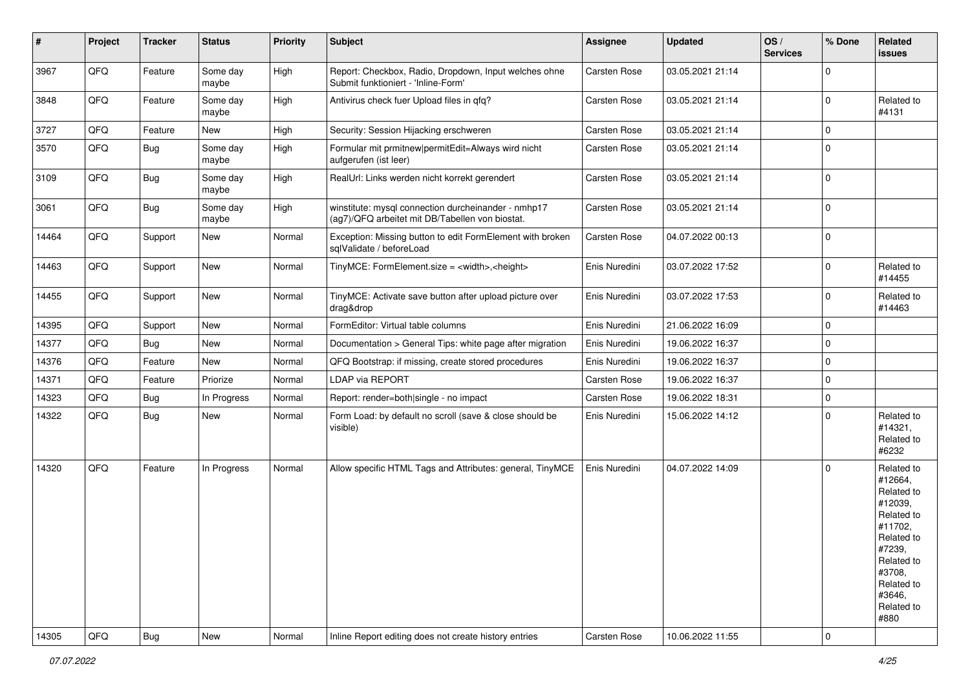| #     | Project | <b>Tracker</b> | <b>Status</b>     | <b>Priority</b> | Subject                                                                                                | <b>Assignee</b> | <b>Updated</b>   | OS/<br><b>Services</b> | % Done              | Related<br><b>issues</b>                                                                                                                                              |
|-------|---------|----------------|-------------------|-----------------|--------------------------------------------------------------------------------------------------------|-----------------|------------------|------------------------|---------------------|-----------------------------------------------------------------------------------------------------------------------------------------------------------------------|
| 3967  | QFQ     | Feature        | Some day<br>maybe | High            | Report: Checkbox, Radio, Dropdown, Input welches ohne<br>Submit funktioniert - 'Inline-Form'           | Carsten Rose    | 03.05.2021 21:14 |                        | $\mathbf 0$         |                                                                                                                                                                       |
| 3848  | QFQ     | Feature        | Some day<br>maybe | High            | Antivirus check fuer Upload files in qfq?                                                              | Carsten Rose    | 03.05.2021 21:14 |                        | $\mathbf 0$         | Related to<br>#4131                                                                                                                                                   |
| 3727  | QFQ     | Feature        | New               | High            | Security: Session Hijacking erschweren                                                                 | Carsten Rose    | 03.05.2021 21:14 |                        | $\mathbf 0$         |                                                                                                                                                                       |
| 3570  | QFQ     | <b>Bug</b>     | Some day<br>maybe | High            | Formular mit prmitnew permitEdit=Always wird nicht<br>aufgerufen (ist leer)                            | Carsten Rose    | 03.05.2021 21:14 |                        | $\mathbf 0$         |                                                                                                                                                                       |
| 3109  | QFQ     | Bug            | Some day<br>maybe | High            | RealUrl: Links werden nicht korrekt gerendert                                                          | Carsten Rose    | 03.05.2021 21:14 |                        | $\mathbf 0$         |                                                                                                                                                                       |
| 3061  | QFQ     | <b>Bug</b>     | Some day<br>maybe | High            | winstitute: mysql connection durcheinander - nmhp17<br>(ag7)/QFQ arbeitet mit DB/Tabellen von biostat. | Carsten Rose    | 03.05.2021 21:14 |                        | $\mathbf 0$         |                                                                                                                                                                       |
| 14464 | QFQ     | Support        | New               | Normal          | Exception: Missing button to edit FormElement with broken<br>sqlValidate / beforeLoad                  | Carsten Rose    | 04.07.2022 00:13 |                        | $\mathbf 0$         |                                                                                                                                                                       |
| 14463 | QFQ     | Support        | New               | Normal          | TinyMCE: FormElement.size = <width>,<height></height></width>                                          | Enis Nuredini   | 03.07.2022 17:52 |                        | $\mathbf 0$         | Related to<br>#14455                                                                                                                                                  |
| 14455 | QFQ     | Support        | New               | Normal          | TinyMCE: Activate save button after upload picture over<br>drag&drop                                   | Enis Nuredini   | 03.07.2022 17:53 |                        | $\mathbf 0$         | Related to<br>#14463                                                                                                                                                  |
| 14395 | QFQ     | Support        | New               | Normal          | FormEditor: Virtual table columns                                                                      | Enis Nuredini   | 21.06.2022 16:09 |                        | $\mathbf 0$         |                                                                                                                                                                       |
| 14377 | QFQ     | <b>Bug</b>     | New               | Normal          | Documentation > General Tips: white page after migration                                               | Enis Nuredini   | 19.06.2022 16:37 |                        | $\mathbf 0$         |                                                                                                                                                                       |
| 14376 | QFQ     | Feature        | <b>New</b>        | Normal          | QFQ Bootstrap: if missing, create stored procedures                                                    | Enis Nuredini   | 19.06.2022 16:37 |                        | $\mathbf 0$         |                                                                                                                                                                       |
| 14371 | QFQ     | Feature        | Priorize          | Normal          | LDAP via REPORT                                                                                        | Carsten Rose    | 19.06.2022 16:37 |                        | $\mathbf 0$         |                                                                                                                                                                       |
| 14323 | QFQ     | <b>Bug</b>     | In Progress       | Normal          | Report: render=both single - no impact                                                                 | Carsten Rose    | 19.06.2022 18:31 |                        | $\mathbf 0$         |                                                                                                                                                                       |
| 14322 | QFQ     | <b>Bug</b>     | New               | Normal          | Form Load: by default no scroll (save & close should be<br>visible)                                    | Enis Nuredini   | 15.06.2022 14:12 |                        | $\mathbf 0$         | Related to<br>#14321,<br>Related to<br>#6232                                                                                                                          |
| 14320 | QFQ     | Feature        | In Progress       | Normal          | Allow specific HTML Tags and Attributes: general, TinyMCE                                              | Enis Nuredini   | 04.07.2022 14:09 |                        | $\mathbf 0$         | Related to<br>#12664,<br>Related to<br>#12039,<br>Related to<br>#11702,<br>Related to<br>#7239,<br>Related to<br>#3708,<br>Related to<br>#3646,<br>Related to<br>#880 |
| 14305 | QFQ     | Bug            | New               | Normal          | Inline Report editing does not create history entries                                                  | Carsten Rose    | 10.06.2022 11:55 |                        | $\mathsf{O}\xspace$ |                                                                                                                                                                       |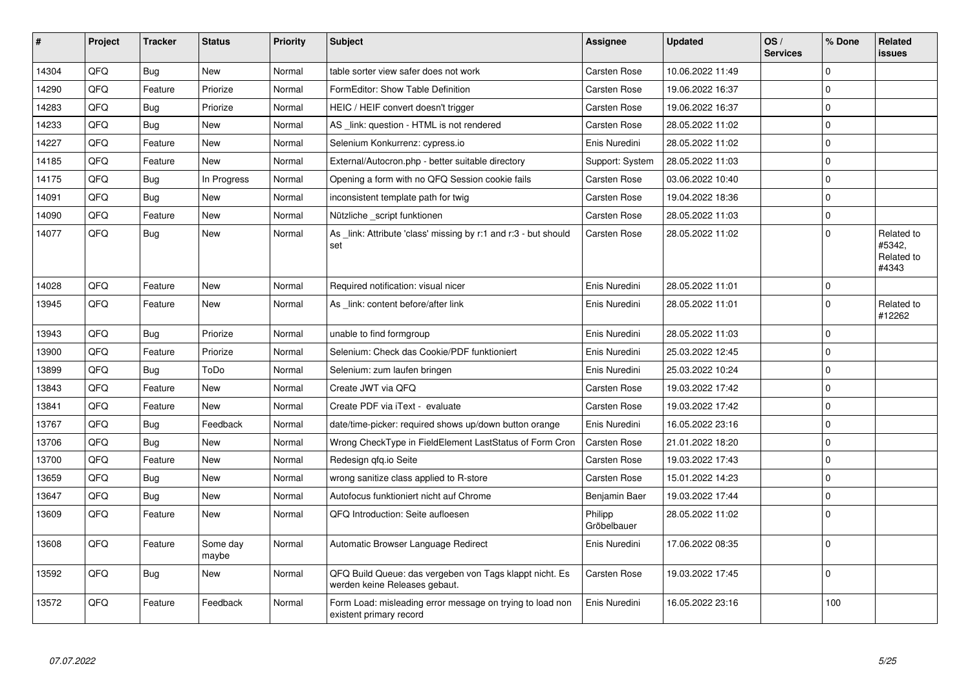| #     | Project | <b>Tracker</b> | <b>Status</b>     | <b>Priority</b> | <b>Subject</b>                                                                           | Assignee               | <b>Updated</b>   | OS/<br><b>Services</b> | % Done      | <b>Related</b><br><b>issues</b>             |
|-------|---------|----------------|-------------------|-----------------|------------------------------------------------------------------------------------------|------------------------|------------------|------------------------|-------------|---------------------------------------------|
| 14304 | QFQ     | Bug            | New               | Normal          | table sorter view safer does not work                                                    | Carsten Rose           | 10.06.2022 11:49 |                        | $\mathbf 0$ |                                             |
| 14290 | QFQ     | Feature        | Priorize          | Normal          | FormEditor: Show Table Definition                                                        | Carsten Rose           | 19.06.2022 16:37 |                        | $\mathbf 0$ |                                             |
| 14283 | QFQ     | <b>Bug</b>     | Priorize          | Normal          | HEIC / HEIF convert doesn't trigger                                                      | Carsten Rose           | 19.06.2022 16:37 |                        | $\mathbf 0$ |                                             |
| 14233 | QFQ     | <b>Bug</b>     | <b>New</b>        | Normal          | AS _link: question - HTML is not rendered                                                | Carsten Rose           | 28.05.2022 11:02 |                        | $\pmb{0}$   |                                             |
| 14227 | QFQ     | Feature        | <b>New</b>        | Normal          | Selenium Konkurrenz: cypress.io                                                          | Enis Nuredini          | 28.05.2022 11:02 |                        | $\mathbf 0$ |                                             |
| 14185 | QFQ     | Feature        | <b>New</b>        | Normal          | External/Autocron.php - better suitable directory                                        | Support: System        | 28.05.2022 11:03 |                        | $\pmb{0}$   |                                             |
| 14175 | QFQ     | Bug            | In Progress       | Normal          | Opening a form with no QFQ Session cookie fails                                          | Carsten Rose           | 03.06.2022 10:40 |                        | $\mathsf 0$ |                                             |
| 14091 | QFQ     | <b>Bug</b>     | <b>New</b>        | Normal          | inconsistent template path for twig                                                      | Carsten Rose           | 19.04.2022 18:36 |                        | $\mathbf 0$ |                                             |
| 14090 | QFQ     | Feature        | New               | Normal          | Nützliche script funktionen                                                              | Carsten Rose           | 28.05.2022 11:03 |                        | $\pmb{0}$   |                                             |
| 14077 | QFQ     | Bug            | <b>New</b>        | Normal          | As link: Attribute 'class' missing by r:1 and r:3 - but should<br>set                    | Carsten Rose           | 28.05.2022 11:02 |                        | $\mathbf 0$ | Related to<br>#5342,<br>Related to<br>#4343 |
| 14028 | QFQ     | Feature        | <b>New</b>        | Normal          | Required notification: visual nicer                                                      | Enis Nuredini          | 28.05.2022 11:01 |                        | $\mathsf 0$ |                                             |
| 13945 | QFQ     | Feature        | New               | Normal          | As link: content before/after link                                                       | Enis Nuredini          | 28.05.2022 11:01 |                        | $\mathbf 0$ | Related to<br>#12262                        |
| 13943 | QFQ     | Bug            | Priorize          | Normal          | unable to find formgroup                                                                 | Enis Nuredini          | 28.05.2022 11:03 |                        | $\pmb{0}$   |                                             |
| 13900 | QFQ     | Feature        | Priorize          | Normal          | Selenium: Check das Cookie/PDF funktioniert                                              | Enis Nuredini          | 25.03.2022 12:45 |                        | $\mathbf 0$ |                                             |
| 13899 | QFQ     | Bug            | ToDo              | Normal          | Selenium: zum laufen bringen                                                             | Enis Nuredini          | 25.03.2022 10:24 |                        | $\pmb{0}$   |                                             |
| 13843 | QFQ     | Feature        | <b>New</b>        | Normal          | Create JWT via QFQ                                                                       | Carsten Rose           | 19.03.2022 17:42 |                        | $\mathbf 0$ |                                             |
| 13841 | QFQ     | Feature        | New               | Normal          | Create PDF via iText - evaluate                                                          | Carsten Rose           | 19.03.2022 17:42 |                        | $\mathbf 0$ |                                             |
| 13767 | QFQ     | Bug            | Feedback          | Normal          | date/time-picker: required shows up/down button orange                                   | Enis Nuredini          | 16.05.2022 23:16 |                        | $\mathsf 0$ |                                             |
| 13706 | QFQ     | Bug            | <b>New</b>        | Normal          | Wrong CheckType in FieldElement LastStatus of Form Cron                                  | Carsten Rose           | 21.01.2022 18:20 |                        | $\mathbf 0$ |                                             |
| 13700 | QFQ     | Feature        | <b>New</b>        | Normal          | Redesign qfq.io Seite                                                                    | Carsten Rose           | 19.03.2022 17:43 |                        | $\mathbf 0$ |                                             |
| 13659 | QFQ     | Bug            | New               | Normal          | wrong sanitize class applied to R-store                                                  | Carsten Rose           | 15.01.2022 14:23 |                        | $\mathbf 0$ |                                             |
| 13647 | QFQ     | <b>Bug</b>     | New               | Normal          | Autofocus funktioniert nicht auf Chrome                                                  | Benjamin Baer          | 19.03.2022 17:44 |                        | $\mathbf 0$ |                                             |
| 13609 | QFQ     | Feature        | New               | Normal          | QFQ Introduction: Seite aufloesen                                                        | Philipp<br>Gröbelbauer | 28.05.2022 11:02 |                        | $\Omega$    |                                             |
| 13608 | QFQ     | Feature        | Some day<br>maybe | Normal          | Automatic Browser Language Redirect                                                      | Enis Nuredini          | 17.06.2022 08:35 |                        | $\mathbf 0$ |                                             |
| 13592 | QFQ     | Bug            | <b>New</b>        | Normal          | QFQ Build Queue: das vergeben von Tags klappt nicht. Es<br>werden keine Releases gebaut. | Carsten Rose           | 19.03.2022 17:45 |                        | $\mathbf 0$ |                                             |
| 13572 | QFQ     | Feature        | Feedback          | Normal          | Form Load: misleading error message on trying to load non<br>existent primary record     | Enis Nuredini          | 16.05.2022 23:16 |                        | 100         |                                             |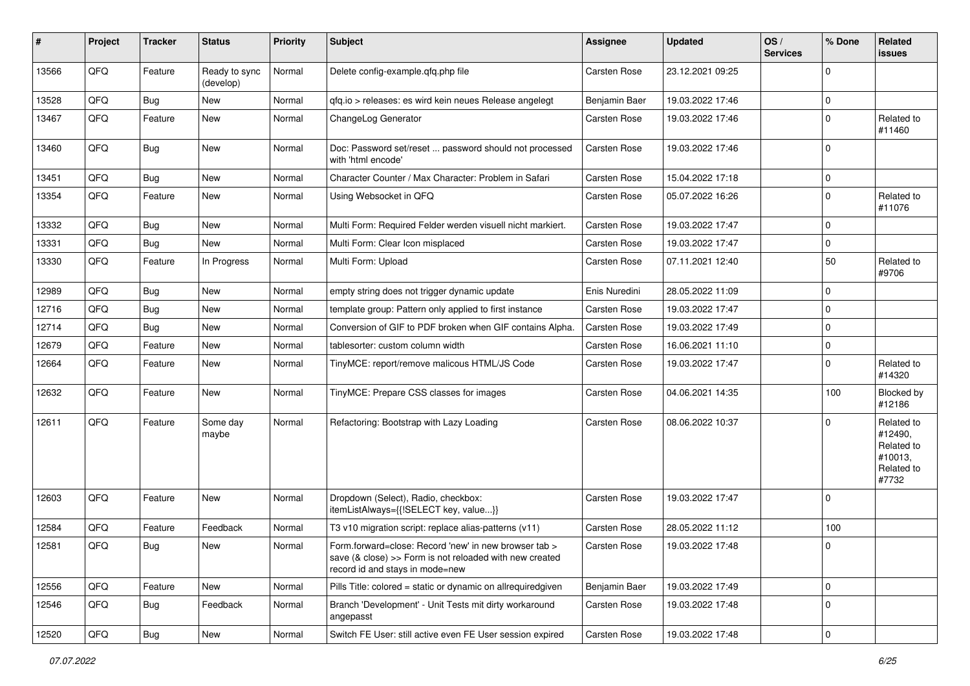| #     | Project | <b>Tracker</b> | <b>Status</b>              | <b>Priority</b> | <b>Subject</b>                                                                                                                                      | Assignee            | <b>Updated</b>   | OS/<br><b>Services</b> | % Done      | Related<br><b>issues</b>                                              |
|-------|---------|----------------|----------------------------|-----------------|-----------------------------------------------------------------------------------------------------------------------------------------------------|---------------------|------------------|------------------------|-------------|-----------------------------------------------------------------------|
| 13566 | QFQ     | Feature        | Ready to sync<br>(develop) | Normal          | Delete config-example.qfq.php file                                                                                                                  | <b>Carsten Rose</b> | 23.12.2021 09:25 |                        | $\mathbf 0$ |                                                                       |
| 13528 | QFQ     | Bug            | New                        | Normal          | gfg.io > releases: es wird kein neues Release angelegt                                                                                              | Benjamin Baer       | 19.03.2022 17:46 |                        | $\pmb{0}$   |                                                                       |
| 13467 | QFQ     | Feature        | New                        | Normal          | ChangeLog Generator                                                                                                                                 | <b>Carsten Rose</b> | 19.03.2022 17:46 |                        | $\mathbf 0$ | Related to<br>#11460                                                  |
| 13460 | QFQ     | <b>Bug</b>     | <b>New</b>                 | Normal          | Doc: Password set/reset  password should not processed<br>with 'html encode'                                                                        | <b>Carsten Rose</b> | 19.03.2022 17:46 |                        | $\mathbf 0$ |                                                                       |
| 13451 | QFQ     | Bug            | <b>New</b>                 | Normal          | Character Counter / Max Character: Problem in Safari                                                                                                | Carsten Rose        | 15.04.2022 17:18 |                        | $\mathbf 0$ |                                                                       |
| 13354 | QFQ     | Feature        | New                        | Normal          | Using Websocket in QFQ                                                                                                                              | <b>Carsten Rose</b> | 05.07.2022 16:26 |                        | $\mathbf 0$ | Related to<br>#11076                                                  |
| 13332 | QFQ     | <b>Bug</b>     | New                        | Normal          | Multi Form: Required Felder werden visuell nicht markiert.                                                                                          | <b>Carsten Rose</b> | 19.03.2022 17:47 |                        | $\mathbf 0$ |                                                                       |
| 13331 | QFQ     | Bug            | New                        | Normal          | Multi Form: Clear Icon misplaced                                                                                                                    | <b>Carsten Rose</b> | 19.03.2022 17:47 |                        | $\mathbf 0$ |                                                                       |
| 13330 | QFQ     | Feature        | In Progress                | Normal          | Multi Form: Upload                                                                                                                                  | <b>Carsten Rose</b> | 07.11.2021 12:40 |                        | 50          | Related to<br>#9706                                                   |
| 12989 | QFQ     | <b>Bug</b>     | <b>New</b>                 | Normal          | empty string does not trigger dynamic update                                                                                                        | Enis Nuredini       | 28.05.2022 11:09 |                        | $\mathbf 0$ |                                                                       |
| 12716 | QFQ     | Bug            | New                        | Normal          | template group: Pattern only applied to first instance                                                                                              | <b>Carsten Rose</b> | 19.03.2022 17:47 |                        | $\mathbf 0$ |                                                                       |
| 12714 | QFQ     | Bug            | <b>New</b>                 | Normal          | Conversion of GIF to PDF broken when GIF contains Alpha.                                                                                            | <b>Carsten Rose</b> | 19.03.2022 17:49 |                        | $\Omega$    |                                                                       |
| 12679 | QFQ     | Feature        | New                        | Normal          | tablesorter: custom column width                                                                                                                    | <b>Carsten Rose</b> | 16.06.2021 11:10 |                        | $\pmb{0}$   |                                                                       |
| 12664 | QFQ     | Feature        | New                        | Normal          | TinyMCE: report/remove malicous HTML/JS Code                                                                                                        | <b>Carsten Rose</b> | 19.03.2022 17:47 |                        | $\mathbf 0$ | Related to<br>#14320                                                  |
| 12632 | QFQ     | Feature        | New                        | Normal          | TinyMCE: Prepare CSS classes for images                                                                                                             | <b>Carsten Rose</b> | 04.06.2021 14:35 |                        | 100         | Blocked by<br>#12186                                                  |
| 12611 | QFQ     | Feature        | Some day<br>maybe          | Normal          | Refactoring: Bootstrap with Lazy Loading                                                                                                            | <b>Carsten Rose</b> | 08.06.2022 10:37 |                        | $\mathbf 0$ | Related to<br>#12490,<br>Related to<br>#10013,<br>Related to<br>#7732 |
| 12603 | QFQ     | Feature        | New                        | Normal          | Dropdown (Select), Radio, checkbox:<br>itemListAlways={{!SELECT key, value}}                                                                        | <b>Carsten Rose</b> | 19.03.2022 17:47 |                        | $\pmb{0}$   |                                                                       |
| 12584 | QFQ     | Feature        | Feedback                   | Normal          | T3 v10 migration script: replace alias-patterns (v11)                                                                                               | Carsten Rose        | 28.05.2022 11:12 |                        | 100         |                                                                       |
| 12581 | QFQ     | <b>Bug</b>     | New                        | Normal          | Form.forward=close: Record 'new' in new browser tab ><br>save (& close) >> Form is not reloaded with new created<br>record id and stays in mode=new | <b>Carsten Rose</b> | 19.03.2022 17:48 |                        | $\pmb{0}$   |                                                                       |
| 12556 | QFQ     | Feature        | New                        | Normal          | Pills Title: colored = static or dynamic on allrequiredgiven                                                                                        | Benjamin Baer       | 19.03.2022 17:49 |                        | $\mathbf 0$ |                                                                       |
| 12546 | QFQ     | <b>Bug</b>     | Feedback                   | Normal          | Branch 'Development' - Unit Tests mit dirty workaround<br>angepasst                                                                                 | Carsten Rose        | 19.03.2022 17:48 |                        | $\pmb{0}$   |                                                                       |
| 12520 | QFQ     | <b>Bug</b>     | New                        | Normal          | Switch FE User: still active even FE User session expired                                                                                           | Carsten Rose        | 19.03.2022 17:48 |                        | $\pmb{0}$   |                                                                       |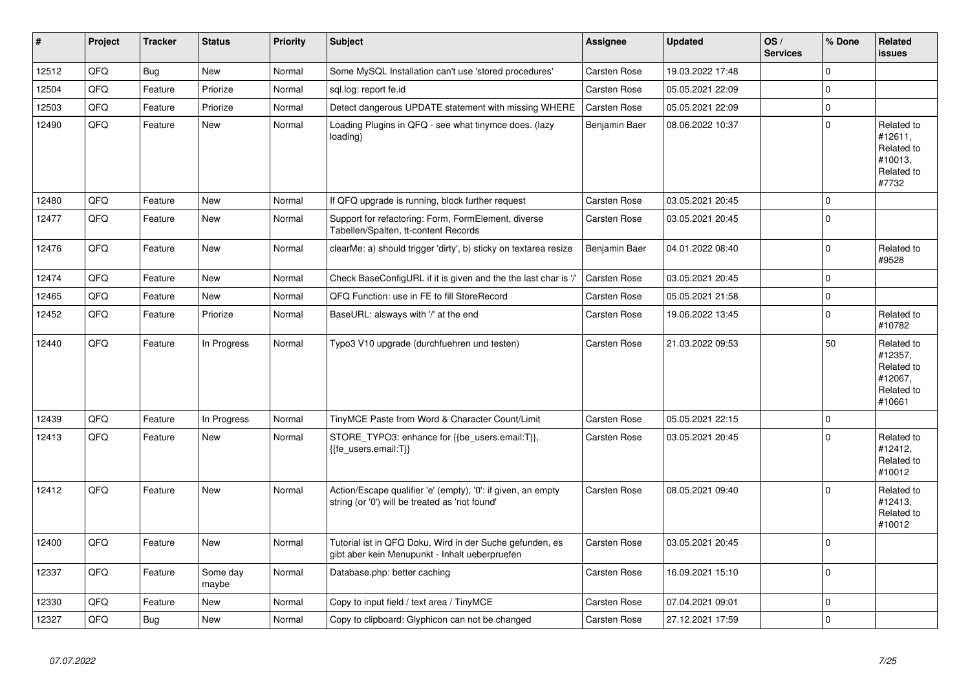| $\pmb{\#}$ | Project | <b>Tracker</b> | <b>Status</b>     | <b>Priority</b> | <b>Subject</b>                                                                                                 | <b>Assignee</b>     | <b>Updated</b>   | OS/<br><b>Services</b> | % Done      | Related<br><b>issues</b>                                               |
|------------|---------|----------------|-------------------|-----------------|----------------------------------------------------------------------------------------------------------------|---------------------|------------------|------------------------|-------------|------------------------------------------------------------------------|
| 12512      | QFQ     | Bug            | <b>New</b>        | Normal          | Some MySQL Installation can't use 'stored procedures'                                                          | Carsten Rose        | 19.03.2022 17:48 |                        | $\mathbf 0$ |                                                                        |
| 12504      | QFQ     | Feature        | Priorize          | Normal          | sgl.log: report fe.id                                                                                          | <b>Carsten Rose</b> | 05.05.2021 22:09 |                        | $\Omega$    |                                                                        |
| 12503      | QFQ     | Feature        | Priorize          | Normal          | Detect dangerous UPDATE statement with missing WHERE                                                           | <b>Carsten Rose</b> | 05.05.2021 22:09 |                        | $\pmb{0}$   |                                                                        |
| 12490      | QFQ     | Feature        | New               | Normal          | Loading Plugins in QFQ - see what tinymce does. (lazy<br>loading)                                              | Benjamin Baer       | 08.06.2022 10:37 |                        | $\mathbf 0$ | Related to<br>#12611,<br>Related to<br>#10013,<br>Related to<br>#7732  |
| 12480      | QFQ     | Feature        | <b>New</b>        | Normal          | If QFQ upgrade is running, block further request                                                               | Carsten Rose        | 03.05.2021 20:45 |                        | $\mathbf 0$ |                                                                        |
| 12477      | QFQ     | Feature        | New               | Normal          | Support for refactoring: Form, FormElement, diverse<br>Tabellen/Spalten, tt-content Records                    | <b>Carsten Rose</b> | 03.05.2021 20:45 |                        | $\mathbf 0$ |                                                                        |
| 12476      | QFQ     | Feature        | New               | Normal          | clearMe: a) should trigger 'dirty', b) sticky on textarea resize                                               | Benjamin Baer       | 04.01.2022 08:40 |                        | $\mathbf 0$ | Related to<br>#9528                                                    |
| 12474      | QFQ     | Feature        | <b>New</b>        | Normal          | Check BaseConfigURL if it is given and the the last char is '/'                                                | Carsten Rose        | 03.05.2021 20:45 |                        | $\mathbf 0$ |                                                                        |
| 12465      | QFQ     | Feature        | New               | Normal          | QFQ Function: use in FE to fill StoreRecord                                                                    | Carsten Rose        | 05.05.2021 21:58 |                        | $\pmb{0}$   |                                                                        |
| 12452      | QFQ     | Feature        | Priorize          | Normal          | BaseURL: alsways with '/' at the end                                                                           | <b>Carsten Rose</b> | 19.06.2022 13:45 |                        | $\pmb{0}$   | Related to<br>#10782                                                   |
| 12440      | QFQ     | Feature        | In Progress       | Normal          | Typo3 V10 upgrade (durchfuehren und testen)                                                                    | <b>Carsten Rose</b> | 21.03.2022 09:53 |                        | 50          | Related to<br>#12357,<br>Related to<br>#12067,<br>Related to<br>#10661 |
| 12439      | QFQ     | Feature        | In Progress       | Normal          | TinyMCE Paste from Word & Character Count/Limit                                                                | <b>Carsten Rose</b> | 05.05.2021 22:15 |                        | $\mathbf 0$ |                                                                        |
| 12413      | QFQ     | Feature        | New               | Normal          | STORE_TYPO3: enhance for {{be_users.email:T}},<br>{{fe users.email:T}}                                         | <b>Carsten Rose</b> | 03.05.2021 20:45 |                        | $\Omega$    | Related to<br>#12412,<br>Related to<br>#10012                          |
| 12412      | QFQ     | Feature        | <b>New</b>        | Normal          | Action/Escape qualifier 'e' (empty), '0': if given, an empty<br>string (or '0') will be treated as 'not found' | <b>Carsten Rose</b> | 08.05.2021 09:40 |                        | $\mathbf 0$ | Related to<br>#12413,<br>Related to<br>#10012                          |
| 12400      | QFQ     | Feature        | New               | Normal          | Tutorial ist in QFQ Doku, Wird in der Suche gefunden, es<br>gibt aber kein Menupunkt - Inhalt ueberpruefen     | Carsten Rose        | 03.05.2021 20:45 |                        | $\mathbf 0$ |                                                                        |
| 12337      | QFQ     | Feature        | Some day<br>maybe | Normal          | Database.php: better caching                                                                                   | Carsten Rose        | 16.09.2021 15:10 |                        | $\mathbf 0$ |                                                                        |
| 12330      | QFQ     | Feature        | <b>New</b>        | Normal          | Copy to input field / text area / TinyMCE                                                                      | Carsten Rose        | 07.04.2021 09:01 |                        | $\pmb{0}$   |                                                                        |
| 12327      | QFQ     | <b>Bug</b>     | New               | Normal          | Copy to clipboard: Glyphicon can not be changed                                                                | <b>Carsten Rose</b> | 27.12.2021 17:59 |                        | $\mathbf 0$ |                                                                        |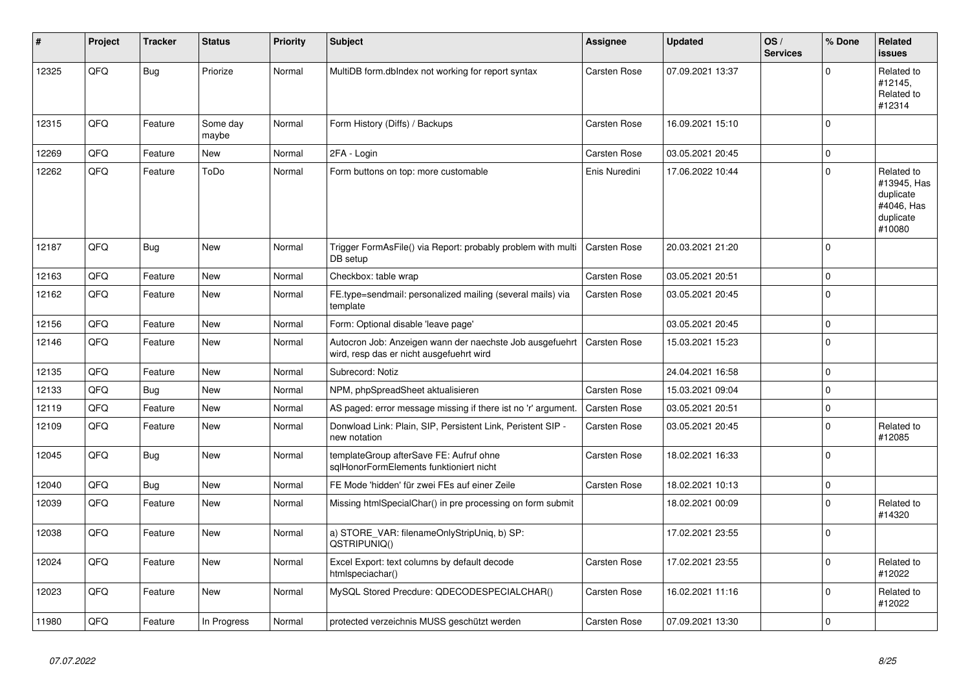| $\vert$ # | <b>Project</b> | <b>Tracker</b> | <b>Status</b>     | <b>Priority</b> | <b>Subject</b>                                                                                       | Assignee            | <b>Updated</b>   | OS/<br><b>Services</b> | % Done      | <b>Related</b><br>issues                                                    |
|-----------|----------------|----------------|-------------------|-----------------|------------------------------------------------------------------------------------------------------|---------------------|------------------|------------------------|-------------|-----------------------------------------------------------------------------|
| 12325     | QFQ            | Bug            | Priorize          | Normal          | MultiDB form.dblndex not working for report syntax                                                   | <b>Carsten Rose</b> | 07.09.2021 13:37 |                        | $\Omega$    | Related to<br>#12145,<br>Related to<br>#12314                               |
| 12315     | QFQ            | Feature        | Some day<br>maybe | Normal          | Form History (Diffs) / Backups                                                                       | <b>Carsten Rose</b> | 16.09.2021 15:10 |                        | $\mathbf 0$ |                                                                             |
| 12269     | QFQ            | Feature        | New               | Normal          | 2FA - Login                                                                                          | Carsten Rose        | 03.05.2021 20:45 |                        | $\mathbf 0$ |                                                                             |
| 12262     | QFQ            | Feature        | ToDo              | Normal          | Form buttons on top: more customable                                                                 | Enis Nuredini       | 17.06.2022 10:44 |                        | $\mathbf 0$ | Related to<br>#13945, Has<br>duplicate<br>#4046, Has<br>duplicate<br>#10080 |
| 12187     | QFQ            | Bug            | <b>New</b>        | Normal          | Trigger FormAsFile() via Report: probably problem with multi<br>DB setup                             | <b>Carsten Rose</b> | 20.03.2021 21:20 |                        | $\mathbf 0$ |                                                                             |
| 12163     | QFQ            | Feature        | <b>New</b>        | Normal          | Checkbox: table wrap                                                                                 | <b>Carsten Rose</b> | 03.05.2021 20:51 |                        | $\mathbf 0$ |                                                                             |
| 12162     | QFQ            | Feature        | <b>New</b>        | Normal          | FE.type=sendmail: personalized mailing (several mails) via<br>template                               | <b>Carsten Rose</b> | 03.05.2021 20:45 |                        | $\mathbf 0$ |                                                                             |
| 12156     | QFQ            | Feature        | <b>New</b>        | Normal          | Form: Optional disable 'leave page'                                                                  |                     | 03.05.2021 20:45 |                        | 0           |                                                                             |
| 12146     | QFQ            | Feature        | New               | Normal          | Autocron Job: Anzeigen wann der naechste Job ausgefuehrt<br>wird, resp das er nicht ausgefuehrt wird | <b>Carsten Rose</b> | 15.03.2021 15:23 |                        | $\mathbf 0$ |                                                                             |
| 12135     | QFQ            | Feature        | <b>New</b>        | Normal          | Subrecord: Notiz                                                                                     |                     | 24.04.2021 16:58 |                        | 0           |                                                                             |
| 12133     | QFQ            | <b>Bug</b>     | <b>New</b>        | Normal          | NPM, phpSpreadSheet aktualisieren                                                                    | <b>Carsten Rose</b> | 15.03.2021 09:04 |                        | $\mathbf 0$ |                                                                             |
| 12119     | QFQ            | Feature        | New               | Normal          | AS paged: error message missing if there ist no 'r' argument.                                        | Carsten Rose        | 03.05.2021 20:51 |                        | $\pmb{0}$   |                                                                             |
| 12109     | QFQ            | Feature        | New               | Normal          | Donwload Link: Plain, SIP, Persistent Link, Peristent SIP -<br>new notation                          | Carsten Rose        | 03.05.2021 20:45 |                        | $\pmb{0}$   | Related to<br>#12085                                                        |
| 12045     | QFQ            | Bug            | New               | Normal          | templateGroup afterSave FE: Aufruf ohne<br>sqlHonorFormElements funktioniert nicht                   | <b>Carsten Rose</b> | 18.02.2021 16:33 |                        | $\mathbf 0$ |                                                                             |
| 12040     | QFQ            | Bug            | <b>New</b>        | Normal          | FE Mode 'hidden' für zwei FEs auf einer Zeile                                                        | <b>Carsten Rose</b> | 18.02.2021 10:13 |                        | $\mathbf 0$ |                                                                             |
| 12039     | QFQ            | Feature        | <b>New</b>        | Normal          | Missing htmlSpecialChar() in pre processing on form submit                                           |                     | 18.02.2021 00:09 |                        | $\mathbf 0$ | Related to<br>#14320                                                        |
| 12038     | QFQ            | Feature        | <b>New</b>        | Normal          | a) STORE_VAR: filenameOnlyStripUniq, b) SP:<br>QSTRIPUNIQ()                                          |                     | 17.02.2021 23:55 |                        | $\mathbf 0$ |                                                                             |
| 12024     | QFQ            | Feature        | <b>New</b>        | Normal          | Excel Export: text columns by default decode<br>htmlspeciachar()                                     | <b>Carsten Rose</b> | 17.02.2021 23:55 |                        | $\mathbf 0$ | Related to<br>#12022                                                        |
| 12023     | QFQ            | Feature        | New               | Normal          | MySQL Stored Precdure: QDECODESPECIALCHAR()                                                          | <b>Carsten Rose</b> | 16.02.2021 11:16 |                        | $\Omega$    | Related to<br>#12022                                                        |
| 11980     | QFQ            | Feature        | In Progress       | Normal          | protected verzeichnis MUSS geschützt werden                                                          | <b>Carsten Rose</b> | 07.09.2021 13:30 |                        | $\pmb{0}$   |                                                                             |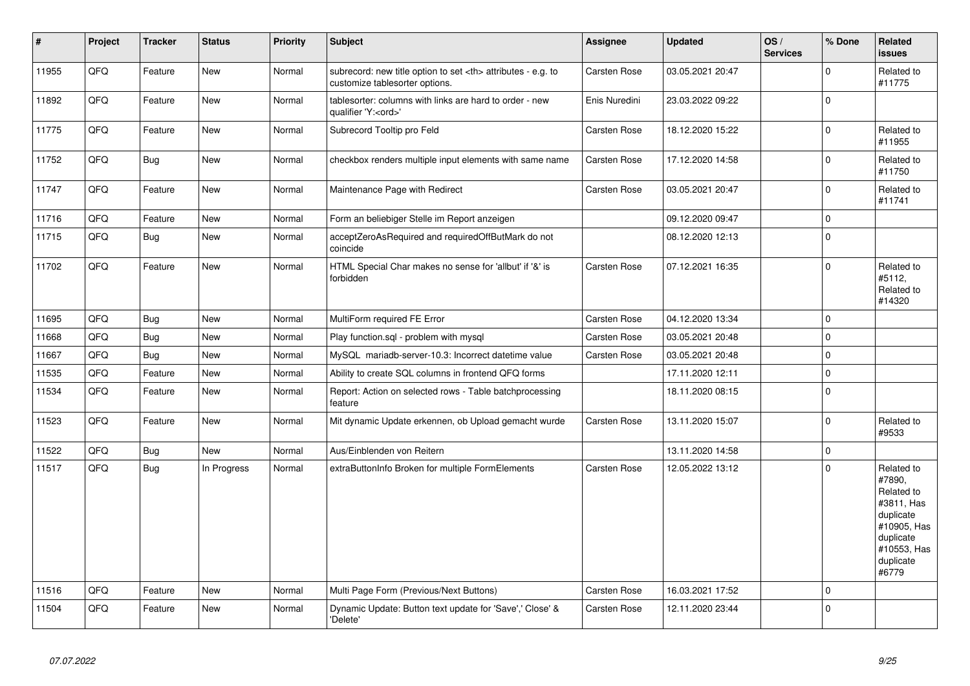| $\vert$ # | <b>Project</b> | <b>Tracker</b> | <b>Status</b> | <b>Priority</b> | <b>Subject</b>                                                                                       | Assignee                                               | Updated          | OS/<br><b>Services</b> | % Done      | Related<br><b>issues</b>                                                                                                       |                      |
|-----------|----------------|----------------|---------------|-----------------|------------------------------------------------------------------------------------------------------|--------------------------------------------------------|------------------|------------------------|-------------|--------------------------------------------------------------------------------------------------------------------------------|----------------------|
| 11955     | QFQ            | Feature        | New           | Normal          | subrecord: new title option to set <th> attributes - e.g. to<br/>customize tablesorter options.</th> | attributes - e.g. to<br>customize tablesorter options. | Carsten Rose     | 03.05.2021 20:47       |             | $\mathbf 0$                                                                                                                    | Related to<br>#11775 |
| 11892     | QFQ            | Feature        | <b>New</b>    | Normal          | tablesorter: columns with links are hard to order - new<br>qualifier 'Y: <ord>'</ord>                | Enis Nuredini                                          | 23.03.2022 09:22 |                        | $\mathbf 0$ |                                                                                                                                |                      |
| 11775     | QFQ            | Feature        | <b>New</b>    | Normal          | Subrecord Tooltip pro Feld                                                                           | <b>Carsten Rose</b>                                    | 18.12.2020 15:22 |                        | $\mathbf 0$ | Related to<br>#11955                                                                                                           |                      |
| 11752     | QFQ            | Bug            | New           | Normal          | checkbox renders multiple input elements with same name                                              | Carsten Rose                                           | 17.12.2020 14:58 |                        | $\mathbf 0$ | Related to<br>#11750                                                                                                           |                      |
| 11747     | QFQ            | Feature        | New           | Normal          | Maintenance Page with Redirect                                                                       | <b>Carsten Rose</b>                                    | 03.05.2021 20:47 |                        | $\mathbf 0$ | Related to<br>#11741                                                                                                           |                      |
| 11716     | QFQ            | Feature        | New           | Normal          | Form an beliebiger Stelle im Report anzeigen                                                         |                                                        | 09.12.2020 09:47 |                        | $\pmb{0}$   |                                                                                                                                |                      |
| 11715     | QFQ            | Bug            | <b>New</b>    | Normal          | acceptZeroAsRequired and requiredOffButMark do not<br>coincide                                       |                                                        | 08.12.2020 12:13 |                        | $\mathbf 0$ |                                                                                                                                |                      |
| 11702     | QFQ            | Feature        | New           | Normal          | HTML Special Char makes no sense for 'allbut' if '&' is<br>forbidden                                 | Carsten Rose                                           | 07.12.2021 16:35 |                        | $\mathbf 0$ | Related to<br>#5112.<br>Related to<br>#14320                                                                                   |                      |
| 11695     | QFQ            | Bug            | <b>New</b>    | Normal          | MultiForm required FE Error                                                                          | <b>Carsten Rose</b>                                    | 04.12.2020 13:34 |                        | $\mathbf 0$ |                                                                                                                                |                      |
| 11668     | QFQ            | Bug            | New           | Normal          | Play function.sql - problem with mysql                                                               | Carsten Rose                                           | 03.05.2021 20:48 |                        | $\mathbf 0$ |                                                                                                                                |                      |
| 11667     | QFQ            | Bug            | <b>New</b>    | Normal          | MySQL mariadb-server-10.3: Incorrect datetime value                                                  | <b>Carsten Rose</b>                                    | 03.05.2021 20:48 |                        | $\mathbf 0$ |                                                                                                                                |                      |
| 11535     | QFQ            | Feature        | New           | Normal          | Ability to create SQL columns in frontend QFQ forms                                                  |                                                        | 17.11.2020 12:11 |                        | $\mathbf 0$ |                                                                                                                                |                      |
| 11534     | QFQ            | Feature        | New           | Normal          | Report: Action on selected rows - Table batchprocessing<br>feature                                   |                                                        | 18.11.2020 08:15 |                        | $\pmb{0}$   |                                                                                                                                |                      |
| 11523     | QFQ            | Feature        | New           | Normal          | Mit dynamic Update erkennen, ob Upload gemacht wurde                                                 | Carsten Rose                                           | 13.11.2020 15:07 |                        | $\mathbf 0$ | Related to<br>#9533                                                                                                            |                      |
| 11522     | QFQ            | Bug            | New           | Normal          | Aus/Einblenden von Reitern                                                                           |                                                        | 13.11.2020 14:58 |                        | $\pmb{0}$   |                                                                                                                                |                      |
| 11517     | QFQ            | <b>Bug</b>     | In Progress   | Normal          | extraButtonInfo Broken for multiple FormElements                                                     | <b>Carsten Rose</b>                                    | 12.05.2022 13:12 |                        | $\mathbf 0$ | Related to<br>#7890.<br>Related to<br>#3811, Has<br>duplicate<br>#10905, Has<br>duplicate<br>#10553, Has<br>duplicate<br>#6779 |                      |
| 11516     | QFQ            | Feature        | <b>New</b>    | Normal          | Multi Page Form (Previous/Next Buttons)                                                              | Carsten Rose                                           | 16.03.2021 17:52 |                        | $\mathbf 0$ |                                                                                                                                |                      |
| 11504     | QFQ            | Feature        | New           | Normal          | Dynamic Update: Button text update for 'Save',' Close' &<br>'Delete'                                 | <b>Carsten Rose</b>                                    | 12.11.2020 23:44 |                        | $\mathbf 0$ |                                                                                                                                |                      |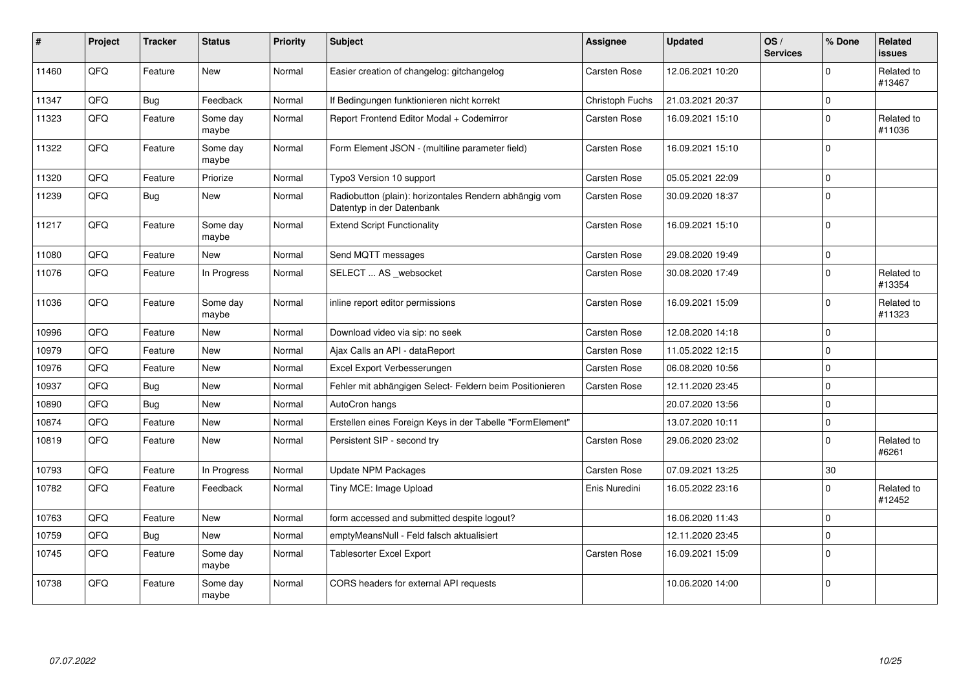| $\vert$ # | Project | <b>Tracker</b> | <b>Status</b>     | <b>Priority</b> | <b>Subject</b>                                                                      | Assignee        | <b>Updated</b>   | OS/<br><b>Services</b> | % Done      | <b>Related</b><br><b>issues</b> |
|-----------|---------|----------------|-------------------|-----------------|-------------------------------------------------------------------------------------|-----------------|------------------|------------------------|-------------|---------------------------------|
| 11460     | QFQ     | Feature        | <b>New</b>        | Normal          | Easier creation of changelog: gitchangelog                                          | Carsten Rose    | 12.06.2021 10:20 |                        | $\Omega$    | Related to<br>#13467            |
| 11347     | QFQ     | <b>Bug</b>     | Feedback          | Normal          | If Bedingungen funktionieren nicht korrekt                                          | Christoph Fuchs | 21.03.2021 20:37 |                        | $\mathbf 0$ |                                 |
| 11323     | QFQ     | Feature        | Some day<br>maybe | Normal          | Report Frontend Editor Modal + Codemirror                                           | Carsten Rose    | 16.09.2021 15:10 |                        | $\mathbf 0$ | Related to<br>#11036            |
| 11322     | QFQ     | Feature        | Some day<br>maybe | Normal          | Form Element JSON - (multiline parameter field)                                     | Carsten Rose    | 16.09.2021 15:10 |                        | $\Omega$    |                                 |
| 11320     | QFQ     | Feature        | Priorize          | Normal          | Typo3 Version 10 support                                                            | Carsten Rose    | 05.05.2021 22:09 |                        | $\mathbf 0$ |                                 |
| 11239     | QFQ     | <b>Bug</b>     | <b>New</b>        | Normal          | Radiobutton (plain): horizontales Rendern abhängig vom<br>Datentyp in der Datenbank | Carsten Rose    | 30.09.2020 18:37 |                        | $\pmb{0}$   |                                 |
| 11217     | QFQ     | Feature        | Some day<br>maybe | Normal          | <b>Extend Script Functionality</b>                                                  | Carsten Rose    | 16.09.2021 15:10 |                        | $\mathbf 0$ |                                 |
| 11080     | QFQ     | Feature        | <b>New</b>        | Normal          | Send MQTT messages                                                                  | Carsten Rose    | 29.08.2020 19:49 |                        | $\mathsf 0$ |                                 |
| 11076     | QFQ     | Feature        | In Progress       | Normal          | SELECT  AS _websocket                                                               | Carsten Rose    | 30.08.2020 17:49 |                        | $\mathbf 0$ | Related to<br>#13354            |
| 11036     | QFQ     | Feature        | Some day<br>maybe | Normal          | inline report editor permissions                                                    | Carsten Rose    | 16.09.2021 15:09 |                        | $\mathbf 0$ | Related to<br>#11323            |
| 10996     | QFQ     | Feature        | New               | Normal          | Download video via sip: no seek                                                     | Carsten Rose    | 12.08.2020 14:18 |                        | $\mathbf 0$ |                                 |
| 10979     | QFQ     | Feature        | <b>New</b>        | Normal          | Ajax Calls an API - dataReport                                                      | Carsten Rose    | 11.05.2022 12:15 |                        | $\mathbf 0$ |                                 |
| 10976     | QFQ     | Feature        | <b>New</b>        | Normal          | Excel Export Verbesserungen                                                         | Carsten Rose    | 06.08.2020 10:56 |                        | $\mathbf 0$ |                                 |
| 10937     | QFQ     | <b>Bug</b>     | <b>New</b>        | Normal          | Fehler mit abhängigen Select- Feldern beim Positionieren                            | Carsten Rose    | 12.11.2020 23:45 |                        | $\mathbf 0$ |                                 |
| 10890     | QFQ     | <b>Bug</b>     | <b>New</b>        | Normal          | AutoCron hangs                                                                      |                 | 20.07.2020 13:56 |                        | $\Omega$    |                                 |
| 10874     | QFQ     | Feature        | <b>New</b>        | Normal          | Erstellen eines Foreign Keys in der Tabelle "FormElement"                           |                 | 13.07.2020 10:11 |                        | $\pmb{0}$   |                                 |
| 10819     | QFQ     | Feature        | New               | Normal          | Persistent SIP - second try                                                         | Carsten Rose    | 29.06.2020 23:02 |                        | $\mathbf 0$ | Related to<br>#6261             |
| 10793     | QFQ     | Feature        | In Progress       | Normal          | <b>Update NPM Packages</b>                                                          | Carsten Rose    | 07.09.2021 13:25 |                        | 30          |                                 |
| 10782     | QFQ     | Feature        | Feedback          | Normal          | Tiny MCE: Image Upload                                                              | Enis Nuredini   | 16.05.2022 23:16 |                        | $\Omega$    | Related to<br>#12452            |
| 10763     | QFQ     | Feature        | <b>New</b>        | Normal          | form accessed and submitted despite logout?                                         |                 | 16.06.2020 11:43 |                        | $\mathbf 0$ |                                 |
| 10759     | QFQ     | Bug            | <b>New</b>        | Normal          | emptyMeansNull - Feld falsch aktualisiert                                           |                 | 12.11.2020 23:45 |                        | $\mathbf 0$ |                                 |
| 10745     | QFQ     | Feature        | Some day<br>maybe | Normal          | <b>Tablesorter Excel Export</b>                                                     | Carsten Rose    | 16.09.2021 15:09 |                        | $\Omega$    |                                 |
| 10738     | QFQ     | Feature        | Some day<br>maybe | Normal          | CORS headers for external API requests                                              |                 | 10.06.2020 14:00 |                        | $\mathbf 0$ |                                 |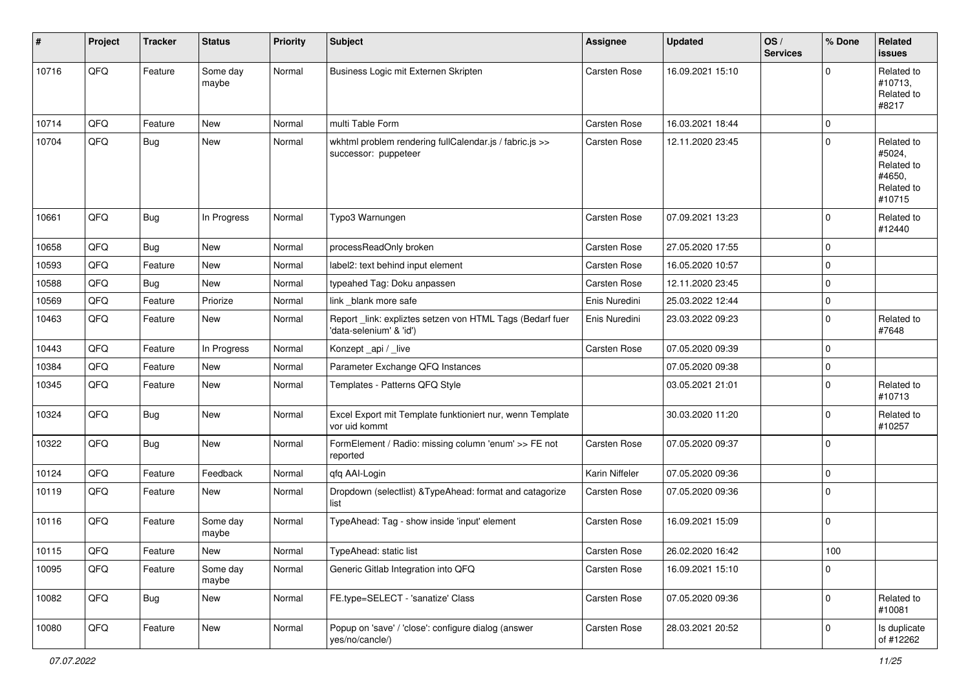| ∦     | Project | <b>Tracker</b> | <b>Status</b>     | <b>Priority</b> | <b>Subject</b>                                                                       | Assignee            | <b>Updated</b>   | OS/<br><b>Services</b> | % Done      | Related<br><b>issues</b>                                             |
|-------|---------|----------------|-------------------|-----------------|--------------------------------------------------------------------------------------|---------------------|------------------|------------------------|-------------|----------------------------------------------------------------------|
| 10716 | QFQ     | Feature        | Some day<br>maybe | Normal          | Business Logic mit Externen Skripten                                                 | Carsten Rose        | 16.09.2021 15:10 |                        | $\Omega$    | Related to<br>#10713,<br>Related to<br>#8217                         |
| 10714 | QFQ     | Feature        | New               | Normal          | multi Table Form                                                                     | <b>Carsten Rose</b> | 16.03.2021 18:44 |                        | $\mathbf 0$ |                                                                      |
| 10704 | QFQ     | Bug            | New               | Normal          | wkhtml problem rendering fullCalendar.js / fabric.js >><br>successor: puppeteer      | <b>Carsten Rose</b> | 12.11.2020 23:45 |                        | $\Omega$    | Related to<br>#5024,<br>Related to<br>#4650,<br>Related to<br>#10715 |
| 10661 | QFQ     | <b>Bug</b>     | In Progress       | Normal          | Typo3 Warnungen                                                                      | <b>Carsten Rose</b> | 07.09.2021 13:23 |                        | $\Omega$    | Related to<br>#12440                                                 |
| 10658 | QFQ     | <b>Bug</b>     | New               | Normal          | processReadOnly broken                                                               | Carsten Rose        | 27.05.2020 17:55 |                        | $\Omega$    |                                                                      |
| 10593 | QFQ     | Feature        | <b>New</b>        | Normal          | label2: text behind input element                                                    | <b>Carsten Rose</b> | 16.05.2020 10:57 |                        | $\Omega$    |                                                                      |
| 10588 | QFQ     | <b>Bug</b>     | New               | Normal          | typeahed Tag: Doku anpassen                                                          | <b>Carsten Rose</b> | 12.11.2020 23:45 |                        | $\Omega$    |                                                                      |
| 10569 | QFQ     | Feature        | Priorize          | Normal          | link _blank more safe                                                                | Enis Nuredini       | 25.03.2022 12:44 |                        | $\mathbf 0$ |                                                                      |
| 10463 | QFQ     | Feature        | <b>New</b>        | Normal          | Report _link: expliztes setzen von HTML Tags (Bedarf fuer<br>'data-selenium' & 'id') | Enis Nuredini       | 23.03.2022 09:23 |                        | $\Omega$    | Related to<br>#7648                                                  |
| 10443 | QFQ     | Feature        | In Progress       | Normal          | Konzept_api / _live                                                                  | <b>Carsten Rose</b> | 07.05.2020 09:39 |                        | $\Omega$    |                                                                      |
| 10384 | QFQ     | Feature        | <b>New</b>        | Normal          | Parameter Exchange QFQ Instances                                                     |                     | 07.05.2020 09:38 |                        | 0           |                                                                      |
| 10345 | QFQ     | Feature        | New               | Normal          | Templates - Patterns QFQ Style                                                       |                     | 03.05.2021 21:01 |                        | $\Omega$    | Related to<br>#10713                                                 |
| 10324 | QFQ     | <b>Bug</b>     | New               | Normal          | Excel Export mit Template funktioniert nur, wenn Template<br>vor uid kommt           |                     | 30.03.2020 11:20 |                        | $\Omega$    | Related to<br>#10257                                                 |
| 10322 | QFQ     | <b>Bug</b>     | New               | Normal          | FormElement / Radio: missing column 'enum' >> FE not<br>reported                     | <b>Carsten Rose</b> | 07.05.2020 09:37 |                        | $\Omega$    |                                                                      |
| 10124 | QFQ     | Feature        | Feedback          | Normal          | qfq AAI-Login                                                                        | Karin Niffeler      | 07.05.2020 09:36 |                        | $\mathbf 0$ |                                                                      |
| 10119 | QFQ     | Feature        | New               | Normal          | Dropdown (selectlist) & TypeAhead: format and catagorize<br>list                     | <b>Carsten Rose</b> | 07.05.2020 09:36 |                        | $\Omega$    |                                                                      |
| 10116 | QFQ     | Feature        | Some day<br>maybe | Normal          | TypeAhead: Tag - show inside 'input' element                                         | <b>Carsten Rose</b> | 16.09.2021 15:09 |                        | $\Omega$    |                                                                      |
| 10115 | QFQ     | I Feature      | New               | Normal          | TypeAhead: static list                                                               | <b>Carsten Rose</b> | 26.02.2020 16:42 |                        | $100\,$     |                                                                      |
| 10095 | QFQ     | Feature        | Some day<br>maybe | Normal          | Generic Gitlab Integration into QFQ                                                  | Carsten Rose        | 16.09.2021 15:10 |                        | $\mathbf 0$ |                                                                      |
| 10082 | QFQ     | <b>Bug</b>     | New               | Normal          | FE.type=SELECT - 'sanatize' Class                                                    | Carsten Rose        | 07.05.2020 09:36 |                        | 0           | Related to<br>#10081                                                 |
| 10080 | QFO     | Feature        | New               | Normal          | Popup on 'save' / 'close': configure dialog (answer<br>yes/no/cancle/)               | Carsten Rose        | 28.03.2021 20:52 |                        | 0           | Is duplicate<br>of #12262                                            |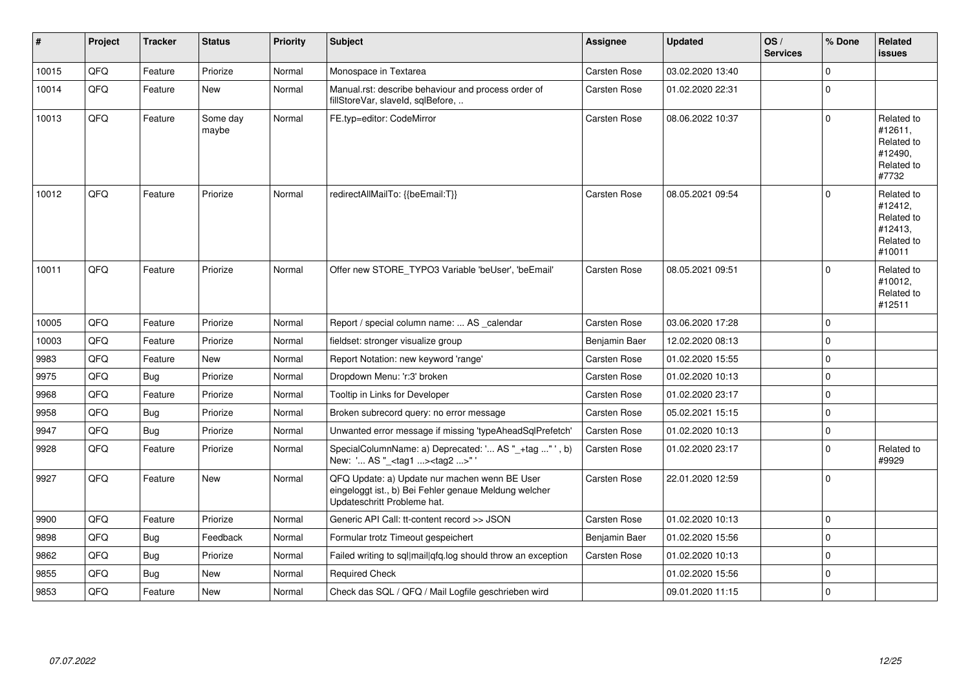| #     | Project | <b>Tracker</b> | <b>Status</b>     | <b>Priority</b> | <b>Subject</b>                                                                                                                        | <b>Assignee</b>     | <b>Updated</b>   | OS/<br><b>Services</b> | % Done      | Related<br><b>issues</b>                                               |
|-------|---------|----------------|-------------------|-----------------|---------------------------------------------------------------------------------------------------------------------------------------|---------------------|------------------|------------------------|-------------|------------------------------------------------------------------------|
| 10015 | QFQ     | Feature        | Priorize          | Normal          | Monospace in Textarea                                                                                                                 | <b>Carsten Rose</b> | 03.02.2020 13:40 |                        | $\mathbf 0$ |                                                                        |
| 10014 | QFQ     | Feature        | New               | Normal          | Manual.rst: describe behaviour and process order of<br>fillStoreVar, slaveId, sqlBefore,                                              | Carsten Rose        | 01.02.2020 22:31 |                        | $\mathbf 0$ |                                                                        |
| 10013 | QFQ     | Feature        | Some day<br>maybe | Normal          | FE.typ=editor: CodeMirror                                                                                                             | <b>Carsten Rose</b> | 08.06.2022 10:37 |                        | $\mathbf 0$ | Related to<br>#12611,<br>Related to<br>#12490.<br>Related to<br>#7732  |
| 10012 | QFQ     | Feature        | Priorize          | Normal          | redirectAllMailTo: {{beEmail:T}}                                                                                                      | <b>Carsten Rose</b> | 08.05.2021 09:54 |                        | $\Omega$    | Related to<br>#12412,<br>Related to<br>#12413,<br>Related to<br>#10011 |
| 10011 | QFQ     | Feature        | Priorize          | Normal          | Offer new STORE TYPO3 Variable 'beUser', 'beEmail'                                                                                    | <b>Carsten Rose</b> | 08.05.2021 09:51 |                        | $\Omega$    | Related to<br>#10012,<br>Related to<br>#12511                          |
| 10005 | QFQ     | Feature        | Priorize          | Normal          | Report / special column name:  AS calendar                                                                                            | <b>Carsten Rose</b> | 03.06.2020 17:28 |                        | $\mathbf 0$ |                                                                        |
| 10003 | QFQ     | Feature        | Priorize          | Normal          | fieldset: stronger visualize group                                                                                                    | Benjamin Baer       | 12.02.2020 08:13 |                        | $\pmb{0}$   |                                                                        |
| 9983  | QFQ     | Feature        | New               | Normal          | Report Notation: new keyword 'range'                                                                                                  | <b>Carsten Rose</b> | 01.02.2020 15:55 |                        | $\mathbf 0$ |                                                                        |
| 9975  | QFQ     | Bug            | Priorize          | Normal          | Dropdown Menu: 'r:3' broken                                                                                                           | Carsten Rose        | 01.02.2020 10:13 |                        | $\Omega$    |                                                                        |
| 9968  | QFQ     | Feature        | Priorize          | Normal          | Tooltip in Links for Developer                                                                                                        | <b>Carsten Rose</b> | 01.02.2020 23:17 |                        | $\mathbf 0$ |                                                                        |
| 9958  | QFQ     | Bug            | Priorize          | Normal          | Broken subrecord query: no error message                                                                                              | Carsten Rose        | 05.02.2021 15:15 |                        | $\mathbf 0$ |                                                                        |
| 9947  | QFQ     | <b>Bug</b>     | Priorize          | Normal          | Unwanted error message if missing 'typeAheadSqlPrefetch'                                                                              | <b>Carsten Rose</b> | 01.02.2020 10:13 |                        | $\mathbf 0$ |                                                                        |
| 9928  | QFQ     | Feature        | Priorize          | Normal          | SpecialColumnName: a) Deprecated: ' AS "_+tag " ', b)<br>New: ' AS "_ <tag1><tag2>"</tag2></tag1>                                     | <b>Carsten Rose</b> | 01.02.2020 23:17 |                        | $\Omega$    | Related to<br>#9929                                                    |
| 9927  | QFQ     | Feature        | <b>New</b>        | Normal          | QFQ Update: a) Update nur machen wenn BE User<br>eingeloggt ist., b) Bei Fehler genaue Meldung welcher<br>Updateschritt Probleme hat. | <b>Carsten Rose</b> | 22.01.2020 12:59 |                        | $\Omega$    |                                                                        |
| 9900  | QFQ     | Feature        | Priorize          | Normal          | Generic API Call: tt-content record >> JSON                                                                                           | <b>Carsten Rose</b> | 01.02.2020 10:13 |                        | $\mathbf 0$ |                                                                        |
| 9898  | QFQ     | <b>Bug</b>     | Feedback          | Normal          | Formular trotz Timeout gespeichert                                                                                                    | Benjamin Baer       | 01.02.2020 15:56 |                        | $\mathbf 0$ |                                                                        |
| 9862  | QFQ     | Bug            | Priorize          | Normal          | Failed writing to sql mail qfq.log should throw an exception                                                                          | <b>Carsten Rose</b> | 01.02.2020 10:13 |                        | $\mathbf 0$ |                                                                        |
| 9855  | QFQ     | Bug            | New               | Normal          | <b>Required Check</b>                                                                                                                 |                     | 01.02.2020 15:56 |                        | $\mathbf 0$ |                                                                        |
| 9853  | QFQ     | Feature        | New               | Normal          | Check das SQL / QFQ / Mail Logfile geschrieben wird                                                                                   |                     | 09.01.2020 11:15 |                        | $\mathbf 0$ |                                                                        |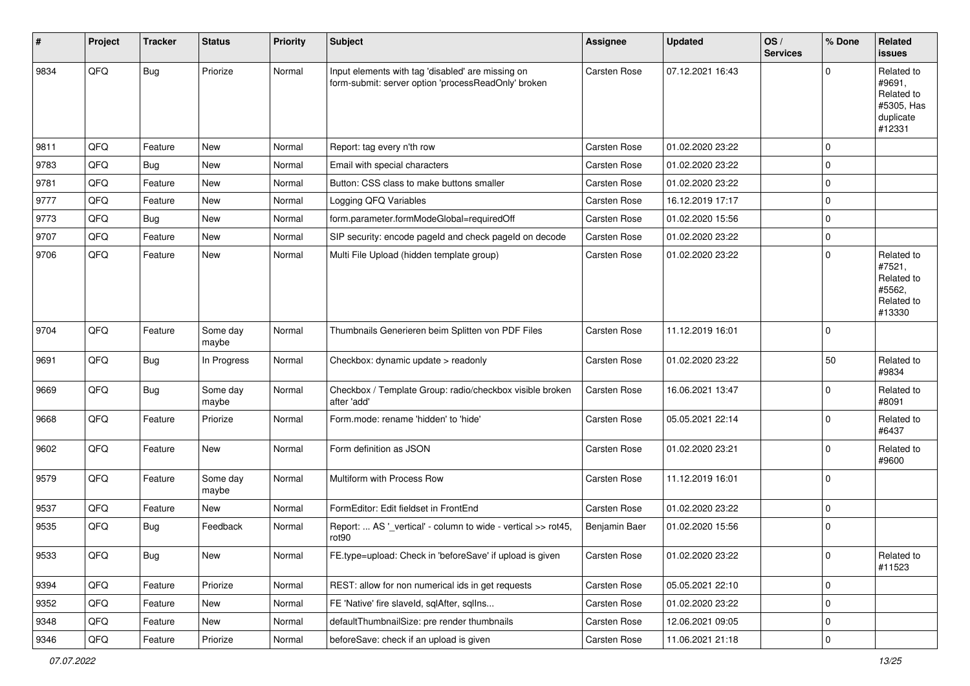| #    | Project | <b>Tracker</b> | <b>Status</b>     | <b>Priority</b> | Subject                                                                                                  | <b>Assignee</b>      | <b>Updated</b>   | OS/<br><b>Services</b> | % Done      | Related<br>issues                                                       |
|------|---------|----------------|-------------------|-----------------|----------------------------------------------------------------------------------------------------------|----------------------|------------------|------------------------|-------------|-------------------------------------------------------------------------|
| 9834 | QFQ     | <b>Bug</b>     | Priorize          | Normal          | Input elements with tag 'disabled' are missing on<br>form-submit: server option 'processReadOnly' broken | Carsten Rose         | 07.12.2021 16:43 |                        | $\Omega$    | Related to<br>#9691,<br>Related to<br>#5305, Has<br>duplicate<br>#12331 |
| 9811 | QFQ     | Feature        | New               | Normal          | Report: tag every n'th row                                                                               | Carsten Rose         | 01.02.2020 23:22 |                        | $\mathbf 0$ |                                                                         |
| 9783 | QFQ     | <b>Bug</b>     | <b>New</b>        | Normal          | Email with special characters                                                                            | Carsten Rose         | 01.02.2020 23:22 |                        | 0           |                                                                         |
| 9781 | QFQ     | Feature        | New               | Normal          | Button: CSS class to make buttons smaller                                                                | Carsten Rose         | 01.02.2020 23:22 |                        | $\mathbf 0$ |                                                                         |
| 9777 | QFQ     | Feature        | New               | Normal          | Logging QFQ Variables                                                                                    | Carsten Rose         | 16.12.2019 17:17 |                        | 0           |                                                                         |
| 9773 | QFQ     | <b>Bug</b>     | New               | Normal          | form.parameter.formModeGlobal=requiredOff                                                                | Carsten Rose         | 01.02.2020 15:56 |                        | $\mathbf 0$ |                                                                         |
| 9707 | QFQ     | Feature        | <b>New</b>        | Normal          | SIP security: encode pageld and check pageld on decode                                                   | Carsten Rose         | 01.02.2020 23:22 |                        | $\mathbf 0$ |                                                                         |
| 9706 | QFQ     | Feature        | New               | Normal          | Multi File Upload (hidden template group)                                                                | Carsten Rose         | 01.02.2020 23:22 |                        | $\Omega$    | Related to<br>#7521,<br>Related to<br>#5562,<br>Related to<br>#13330    |
| 9704 | QFQ     | Feature        | Some day<br>maybe | Normal          | Thumbnails Generieren beim Splitten von PDF Files                                                        | Carsten Rose         | 11.12.2019 16:01 |                        | $\mathbf 0$ |                                                                         |
| 9691 | QFQ     | Bug            | In Progress       | Normal          | Checkbox: dynamic update > readonly                                                                      | Carsten Rose         | 01.02.2020 23:22 |                        | 50          | Related to<br>#9834                                                     |
| 9669 | QFQ     | Bug            | Some day<br>maybe | Normal          | Checkbox / Template Group: radio/checkbox visible broken<br>after 'add'                                  | Carsten Rose         | 16.06.2021 13:47 |                        | $\mathbf 0$ | Related to<br>#8091                                                     |
| 9668 | QFQ     | Feature        | Priorize          | Normal          | Form.mode: rename 'hidden' to 'hide'                                                                     | Carsten Rose         | 05.05.2021 22:14 |                        | $\Omega$    | Related to<br>#6437                                                     |
| 9602 | QFQ     | Feature        | New               | Normal          | Form definition as JSON                                                                                  | Carsten Rose         | 01.02.2020 23:21 |                        | 0           | Related to<br>#9600                                                     |
| 9579 | QFQ     | Feature        | Some day<br>maybe | Normal          | Multiform with Process Row                                                                               | Carsten Rose         | 11.12.2019 16:01 |                        | $\mathbf 0$ |                                                                         |
| 9537 | QFQ     | Feature        | New               | Normal          | FormEditor: Edit fieldset in FrontEnd                                                                    | <b>Carsten Rose</b>  | 01.02.2020 23:22 |                        | $\mathbf 0$ |                                                                         |
| 9535 | QFQ     | <b>Bug</b>     | Feedback          | Normal          | Report:  AS ' vertical' - column to wide - vertical >> rot45,<br>rot <sub>90</sub>                       | <b>Benjamin Baer</b> | 01.02.2020 15:56 |                        | $\mathbf 0$ |                                                                         |
| 9533 | QFQ     | Bug            | New               | Normal          | FE.type=upload: Check in 'beforeSave' if upload is given                                                 | Carsten Rose         | 01.02.2020 23:22 |                        | 0           | Related to<br>#11523                                                    |
| 9394 | QFQ     | Feature        | Priorize          | Normal          | REST: allow for non numerical ids in get requests                                                        | Carsten Rose         | 05.05.2021 22:10 |                        | $\mathbf 0$ |                                                                         |
| 9352 | QFQ     | Feature        | New               | Normal          | FE 'Native' fire slaveld, sqlAfter, sqlIns                                                               | Carsten Rose         | 01.02.2020 23:22 |                        | $\mathbf 0$ |                                                                         |
| 9348 | QFQ     | Feature        | New               | Normal          | defaultThumbnailSize: pre render thumbnails                                                              | Carsten Rose         | 12.06.2021 09:05 |                        | 0           |                                                                         |
| 9346 | QFQ     | Feature        | Priorize          | Normal          | beforeSave: check if an upload is given                                                                  | Carsten Rose         | 11.06.2021 21:18 |                        | $\mathbf 0$ |                                                                         |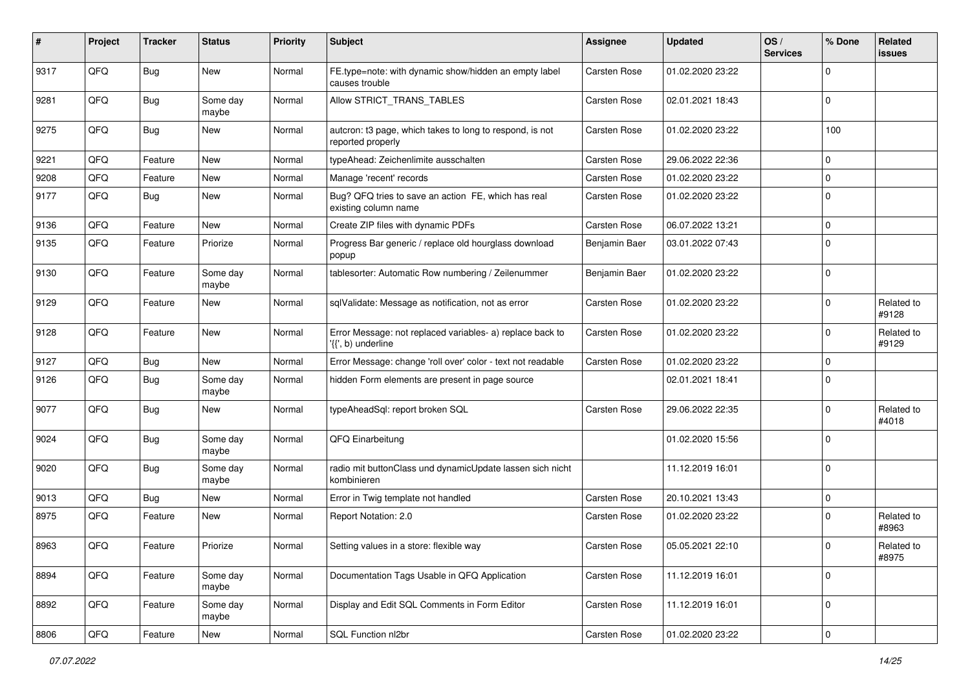| $\pmb{\#}$ | Project | <b>Tracker</b> | <b>Status</b>     | <b>Priority</b> | <b>Subject</b>                                                                  | <b>Assignee</b>     | <b>Updated</b>   | OS/<br><b>Services</b> | % Done      | Related<br><b>issues</b> |
|------------|---------|----------------|-------------------|-----------------|---------------------------------------------------------------------------------|---------------------|------------------|------------------------|-------------|--------------------------|
| 9317       | QFQ     | <b>Bug</b>     | New               | Normal          | FE.type=note: with dynamic show/hidden an empty label<br>causes trouble         | Carsten Rose        | 01.02.2020 23:22 |                        | $\mathbf 0$ |                          |
| 9281       | QFQ     | <b>Bug</b>     | Some day<br>maybe | Normal          | Allow STRICT_TRANS_TABLES                                                       | Carsten Rose        | 02.01.2021 18:43 |                        | $\mathbf 0$ |                          |
| 9275       | QFQ     | <b>Bug</b>     | New               | Normal          | autcron: t3 page, which takes to long to respond, is not<br>reported properly   | Carsten Rose        | 01.02.2020 23:22 |                        | 100         |                          |
| 9221       | QFQ     | Feature        | <b>New</b>        | Normal          | typeAhead: Zeichenlimite ausschalten                                            | Carsten Rose        | 29.06.2022 22:36 |                        | $\mathbf 0$ |                          |
| 9208       | QFQ     | Feature        | <b>New</b>        | Normal          | Manage 'recent' records                                                         | Carsten Rose        | 01.02.2020 23:22 |                        | $\mathbf 0$ |                          |
| 9177       | QFQ     | <b>Bug</b>     | <b>New</b>        | Normal          | Bug? QFQ tries to save an action FE, which has real<br>existing column name     | Carsten Rose        | 01.02.2020 23:22 |                        | $\mathbf 0$ |                          |
| 9136       | QFQ     | Feature        | <b>New</b>        | Normal          | Create ZIP files with dynamic PDFs                                              | Carsten Rose        | 06.07.2022 13:21 |                        | $\mathbf 0$ |                          |
| 9135       | QFQ     | Feature        | Priorize          | Normal          | Progress Bar generic / replace old hourglass download<br>popup                  | Benjamin Baer       | 03.01.2022 07:43 |                        | $\mathbf 0$ |                          |
| 9130       | QFQ     | Feature        | Some day<br>maybe | Normal          | tablesorter: Automatic Row numbering / Zeilenummer                              | Benjamin Baer       | 01.02.2020 23:22 |                        | $\mathbf 0$ |                          |
| 9129       | QFQ     | Feature        | New               | Normal          | sqlValidate: Message as notification, not as error                              | Carsten Rose        | 01.02.2020 23:22 |                        | $\mathbf 0$ | Related to<br>#9128      |
| 9128       | QFQ     | Feature        | New               | Normal          | Error Message: not replaced variables- a) replace back to<br>'{{', b) underline | Carsten Rose        | 01.02.2020 23:22 |                        | $\mathbf 0$ | Related to<br>#9129      |
| 9127       | QFQ     | <b>Bug</b>     | <b>New</b>        | Normal          | Error Message: change 'roll over' color - text not readable                     | Carsten Rose        | 01.02.2020 23:22 |                        | $\mathbf 0$ |                          |
| 9126       | QFQ     | <b>Bug</b>     | Some day<br>maybe | Normal          | hidden Form elements are present in page source                                 |                     | 02.01.2021 18:41 |                        | $\mathbf 0$ |                          |
| 9077       | QFQ     | Bug            | New               | Normal          | typeAheadSql: report broken SQL                                                 | Carsten Rose        | 29.06.2022 22:35 |                        | $\mathbf 0$ | Related to<br>#4018      |
| 9024       | QFQ     | <b>Bug</b>     | Some day<br>maybe | Normal          | QFQ Einarbeitung                                                                |                     | 01.02.2020 15:56 |                        | $\mathbf 0$ |                          |
| 9020       | QFQ     | <b>Bug</b>     | Some day<br>maybe | Normal          | radio mit buttonClass und dynamicUpdate lassen sich nicht<br>kombinieren        |                     | 11.12.2019 16:01 |                        | $\mathbf 0$ |                          |
| 9013       | QFQ     | <b>Bug</b>     | <b>New</b>        | Normal          | Error in Twig template not handled                                              | Carsten Rose        | 20.10.2021 13:43 |                        | $\mathbf 0$ |                          |
| 8975       | QFQ     | Feature        | <b>New</b>        | Normal          | Report Notation: 2.0                                                            | <b>Carsten Rose</b> | 01.02.2020 23:22 |                        | $\mathbf 0$ | Related to<br>#8963      |
| 8963       | QFQ     | Feature        | Priorize          | Normal          | Setting values in a store: flexible way                                         | Carsten Rose        | 05.05.2021 22:10 |                        | $\mathbf 0$ | Related to<br>#8975      |
| 8894       | QFQ     | Feature        | Some day<br>maybe | Normal          | Documentation Tags Usable in QFQ Application                                    | Carsten Rose        | 11.12.2019 16:01 |                        | $\mathsf 0$ |                          |
| 8892       | QFQ     | Feature        | Some day<br>maybe | Normal          | Display and Edit SQL Comments in Form Editor                                    | Carsten Rose        | 11.12.2019 16:01 |                        | $\mathsf 0$ |                          |
| 8806       | QFQ     | Feature        | New               | Normal          | SQL Function nl2br                                                              | Carsten Rose        | 01.02.2020 23:22 |                        | $\mathbf 0$ |                          |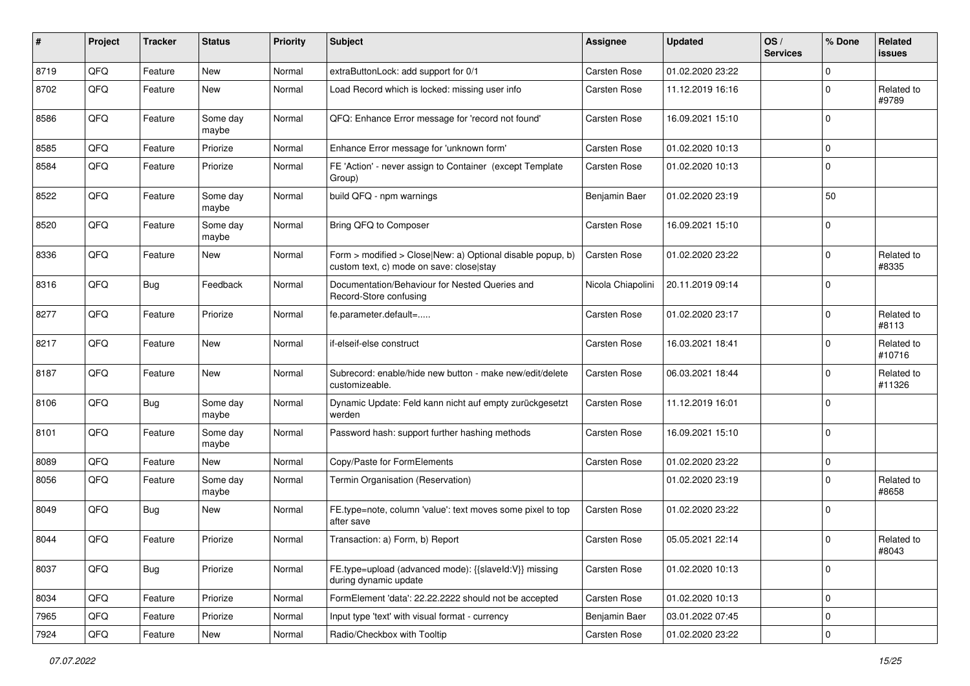| #    | Project | <b>Tracker</b> | <b>Status</b>     | <b>Priority</b> | <b>Subject</b>                                                                                         | Assignee            | <b>Updated</b>   | OS/<br><b>Services</b> | % Done      | Related<br><b>issues</b> |
|------|---------|----------------|-------------------|-----------------|--------------------------------------------------------------------------------------------------------|---------------------|------------------|------------------------|-------------|--------------------------|
| 8719 | QFQ     | Feature        | <b>New</b>        | Normal          | extraButtonLock: add support for 0/1                                                                   | Carsten Rose        | 01.02.2020 23:22 |                        | $\mathbf 0$ |                          |
| 8702 | QFQ     | Feature        | New               | Normal          | Load Record which is locked: missing user info                                                         | <b>Carsten Rose</b> | 11.12.2019 16:16 |                        | $\mathbf 0$ | Related to<br>#9789      |
| 8586 | QFQ     | Feature        | Some day<br>maybe | Normal          | QFQ: Enhance Error message for 'record not found'                                                      | <b>Carsten Rose</b> | 16.09.2021 15:10 |                        | $\mathbf 0$ |                          |
| 8585 | QFQ     | Feature        | Priorize          | Normal          | Enhance Error message for 'unknown form'                                                               | Carsten Rose        | 01.02.2020 10:13 |                        | $\mathbf 0$ |                          |
| 8584 | QFQ     | Feature        | Priorize          | Normal          | FE 'Action' - never assign to Container (except Template<br>Group)                                     | <b>Carsten Rose</b> | 01.02.2020 10:13 |                        | $\mathbf 0$ |                          |
| 8522 | QFQ     | Feature        | Some day<br>maybe | Normal          | build QFQ - npm warnings                                                                               | Benjamin Baer       | 01.02.2020 23:19 |                        | 50          |                          |
| 8520 | QFQ     | Feature        | Some day<br>maybe | Normal          | Bring QFQ to Composer                                                                                  | <b>Carsten Rose</b> | 16.09.2021 15:10 |                        | $\mathbf 0$ |                          |
| 8336 | QFQ     | Feature        | New               | Normal          | Form > modified > Close New: a) Optional disable popup, b)<br>custom text, c) mode on save: close stay | <b>Carsten Rose</b> | 01.02.2020 23:22 |                        | $\mathbf 0$ | Related to<br>#8335      |
| 8316 | QFQ     | <b>Bug</b>     | Feedback          | Normal          | Documentation/Behaviour for Nested Queries and<br>Record-Store confusing                               | Nicola Chiapolini   | 20.11.2019 09:14 |                        | $\mathbf 0$ |                          |
| 8277 | QFQ     | Feature        | Priorize          | Normal          | fe.parameter.default=                                                                                  | Carsten Rose        | 01.02.2020 23:17 |                        | $\mathbf 0$ | Related to<br>#8113      |
| 8217 | QFQ     | Feature        | <b>New</b>        | Normal          | if-elseif-else construct                                                                               | Carsten Rose        | 16.03.2021 18:41 |                        | $\mathbf 0$ | Related to<br>#10716     |
| 8187 | QFQ     | Feature        | <b>New</b>        | Normal          | Subrecord: enable/hide new button - make new/edit/delete<br>customizeable.                             | Carsten Rose        | 06.03.2021 18:44 |                        | $\mathbf 0$ | Related to<br>#11326     |
| 8106 | QFQ     | Bug            | Some day<br>maybe | Normal          | Dynamic Update: Feld kann nicht auf empty zurückgesetzt<br>werden                                      | <b>Carsten Rose</b> | 11.12.2019 16:01 |                        | $\mathbf 0$ |                          |
| 8101 | QFQ     | Feature        | Some day<br>maybe | Normal          | Password hash: support further hashing methods                                                         | <b>Carsten Rose</b> | 16.09.2021 15:10 |                        | $\mathbf 0$ |                          |
| 8089 | QFQ     | Feature        | <b>New</b>        | Normal          | Copy/Paste for FormElements                                                                            | <b>Carsten Rose</b> | 01.02.2020 23:22 |                        | $\mathbf 0$ |                          |
| 8056 | QFQ     | Feature        | Some day<br>maybe | Normal          | Termin Organisation (Reservation)                                                                      |                     | 01.02.2020 23:19 |                        | $\mathbf 0$ | Related to<br>#8658      |
| 8049 | QFQ     | Bug            | New               | Normal          | FE.type=note, column 'value': text moves some pixel to top<br>after save                               | Carsten Rose        | 01.02.2020 23:22 |                        | $\mathbf 0$ |                          |
| 8044 | QFQ     | Feature        | Priorize          | Normal          | Transaction: a) Form, b) Report                                                                        | Carsten Rose        | 05.05.2021 22:14 |                        | $\mathbf 0$ | Related to<br>#8043      |
| 8037 | QFQ     | <b>Bug</b>     | Priorize          | Normal          | FE.type=upload (advanced mode): {{slaveld:V}} missing<br>during dynamic update                         | Carsten Rose        | 01.02.2020 10:13 |                        | $\mathbf 0$ |                          |
| 8034 | QFQ     | Feature        | Priorize          | Normal          | FormElement 'data': 22.22.2222 should not be accepted                                                  | Carsten Rose        | 01.02.2020 10:13 |                        | $\mathbf 0$ |                          |
| 7965 | QFQ     | Feature        | Priorize          | Normal          | Input type 'text' with visual format - currency                                                        | Benjamin Baer       | 03.01.2022 07:45 |                        | $\mathbf 0$ |                          |
| 7924 | QFG     | Feature        | New               | Normal          | Radio/Checkbox with Tooltip                                                                            | Carsten Rose        | 01.02.2020 23:22 |                        | $\mathsf 0$ |                          |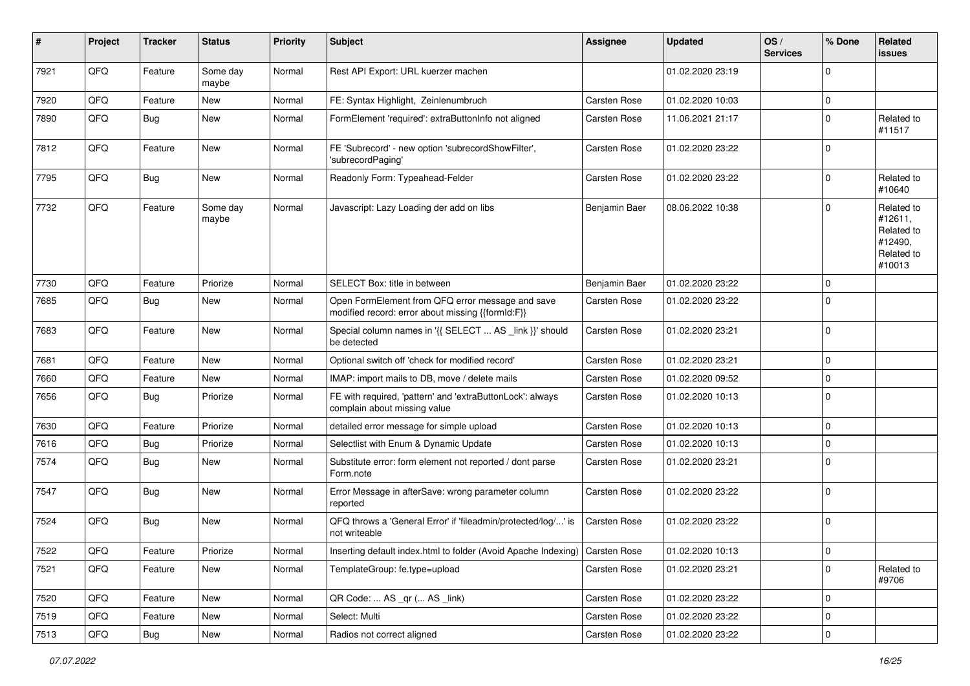| ∦    | Project | <b>Tracker</b> | <b>Status</b>     | <b>Priority</b> | <b>Subject</b>                                                                                        | Assignee            | <b>Updated</b>   | OS/<br><b>Services</b> | % Done       | Related<br>issues                                                      |
|------|---------|----------------|-------------------|-----------------|-------------------------------------------------------------------------------------------------------|---------------------|------------------|------------------------|--------------|------------------------------------------------------------------------|
| 7921 | QFQ     | Feature        | Some day<br>maybe | Normal          | Rest API Export: URL kuerzer machen                                                                   |                     | 01.02.2020 23:19 |                        | $\Omega$     |                                                                        |
| 7920 | QFQ     | Feature        | New               | Normal          | FE: Syntax Highlight, Zeinlenumbruch                                                                  | <b>Carsten Rose</b> | 01.02.2020 10:03 |                        | $\Omega$     |                                                                        |
| 7890 | QFQ     | <b>Bug</b>     | New               | Normal          | FormElement 'required': extraButtonInfo not aligned                                                   | <b>Carsten Rose</b> | 11.06.2021 21:17 |                        | $\Omega$     | Related to<br>#11517                                                   |
| 7812 | QFQ     | Feature        | New               | Normal          | FE 'Subrecord' - new option 'subrecordShowFilter',<br>'subrecordPaging'                               | <b>Carsten Rose</b> | 01.02.2020 23:22 |                        | $\Omega$     |                                                                        |
| 7795 | QFQ     | Bug            | <b>New</b>        | Normal          | Readonly Form: Typeahead-Felder                                                                       | Carsten Rose        | 01.02.2020 23:22 |                        | $\Omega$     | Related to<br>#10640                                                   |
| 7732 | QFQ     | Feature        | Some day<br>maybe | Normal          | Javascript: Lazy Loading der add on libs                                                              | Benjamin Baer       | 08.06.2022 10:38 |                        | $\Omega$     | Related to<br>#12611,<br>Related to<br>#12490,<br>Related to<br>#10013 |
| 7730 | QFQ     | Feature        | Priorize          | Normal          | SELECT Box: title in between                                                                          | Benjamin Baer       | 01.02.2020 23:22 |                        | $\Omega$     |                                                                        |
| 7685 | QFQ     | Bug            | New               | Normal          | Open FormElement from QFQ error message and save<br>modified record: error about missing {{formId:F}} | Carsten Rose        | 01.02.2020 23:22 |                        | $\Omega$     |                                                                        |
| 7683 | QFQ     | Feature        | New               | Normal          | Special column names in '{{ SELECT  AS _link }}' should<br>be detected                                | Carsten Rose        | 01.02.2020 23:21 |                        | $\Omega$     |                                                                        |
| 7681 | QFQ     | Feature        | <b>New</b>        | Normal          | Optional switch off 'check for modified record'                                                       | <b>Carsten Rose</b> | 01.02.2020 23:21 |                        | $\Omega$     |                                                                        |
| 7660 | QFQ     | Feature        | New               | Normal          | IMAP: import mails to DB, move / delete mails                                                         | <b>Carsten Rose</b> | 01.02.2020 09:52 |                        | $\Omega$     |                                                                        |
| 7656 | QFQ     | <b>Bug</b>     | Priorize          | Normal          | FE with required, 'pattern' and 'extraButtonLock': always<br>complain about missing value             | <b>Carsten Rose</b> | 01.02.2020 10:13 |                        | $\Omega$     |                                                                        |
| 7630 | QFQ     | Feature        | Priorize          | Normal          | detailed error message for simple upload                                                              | <b>Carsten Rose</b> | 01.02.2020 10:13 |                        | $\Omega$     |                                                                        |
| 7616 | QFQ     | Bug            | Priorize          | Normal          | Selectlist with Enum & Dynamic Update                                                                 | <b>Carsten Rose</b> | 01.02.2020 10:13 |                        | $\Omega$     |                                                                        |
| 7574 | QFQ     | <b>Bug</b>     | New               | Normal          | Substitute error: form element not reported / dont parse<br>Form.note                                 | <b>Carsten Rose</b> | 01.02.2020 23:21 |                        | $\Omega$     |                                                                        |
| 7547 | QFQ     | <b>Bug</b>     | New               | Normal          | Error Message in afterSave: wrong parameter column<br>reported                                        | <b>Carsten Rose</b> | 01.02.2020 23:22 |                        | $\Omega$     |                                                                        |
| 7524 | QFQ     | Bug            | <b>New</b>        | Normal          | QFQ throws a 'General Error' if 'fileadmin/protected/log/' is<br>not writeable                        | Carsten Rose        | 01.02.2020 23:22 |                        | $\Omega$     |                                                                        |
| 7522 | QFG     | Feature        | Priorize          | Normal          | Inserting default index.html to folder (Avoid Apache Indexing) Carsten Rose                           |                     | 01.02.2020 10:13 |                        | $\mathbf{0}$ |                                                                        |
| 7521 | QFQ     | Feature        | New               | Normal          | TemplateGroup: fe.type=upload                                                                         | Carsten Rose        | 01.02.2020 23:21 |                        | 0            | Related to<br>#9706                                                    |
| 7520 | QFQ     | Feature        | New               | Normal          | QR Code:  AS _qr ( AS _link)                                                                          | Carsten Rose        | 01.02.2020 23:22 |                        | 0            |                                                                        |
| 7519 | QFQ     | Feature        | New               | Normal          | Select: Multi                                                                                         | Carsten Rose        | 01.02.2020 23:22 |                        | $\mathbf 0$  |                                                                        |
| 7513 | QFG     | <b>Bug</b>     | New               | Normal          | Radios not correct aligned                                                                            | Carsten Rose        | 01.02.2020 23:22 |                        | 0            |                                                                        |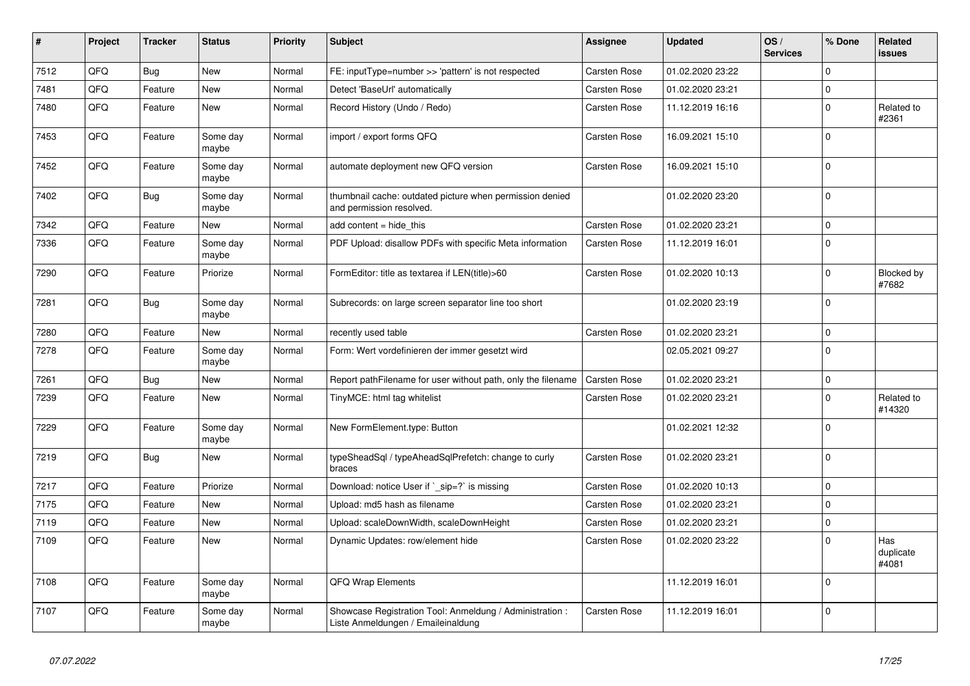| #    | Project | <b>Tracker</b> | <b>Status</b>     | <b>Priority</b> | <b>Subject</b>                                                                                 | Assignee            | <b>Updated</b>   | OS/<br><b>Services</b> | % Done      | <b>Related</b><br><b>issues</b> |
|------|---------|----------------|-------------------|-----------------|------------------------------------------------------------------------------------------------|---------------------|------------------|------------------------|-------------|---------------------------------|
| 7512 | QFQ     | <b>Bug</b>     | <b>New</b>        | Normal          | FE: inputType=number >> 'pattern' is not respected                                             | Carsten Rose        | 01.02.2020 23:22 |                        | $\Omega$    |                                 |
| 7481 | QFQ     | Feature        | New               | Normal          | Detect 'BaseUrl' automatically                                                                 | Carsten Rose        | 01.02.2020 23:21 |                        | $\mathbf 0$ |                                 |
| 7480 | QFQ     | Feature        | <b>New</b>        | Normal          | Record History (Undo / Redo)                                                                   | Carsten Rose        | 11.12.2019 16:16 |                        | $\mathbf 0$ | Related to<br>#2361             |
| 7453 | QFQ     | Feature        | Some day<br>maybe | Normal          | import / export forms QFQ                                                                      | Carsten Rose        | 16.09.2021 15:10 |                        | $\mathbf 0$ |                                 |
| 7452 | QFQ     | Feature        | Some day<br>maybe | Normal          | automate deployment new QFQ version                                                            | <b>Carsten Rose</b> | 16.09.2021 15:10 |                        | $\mathbf 0$ |                                 |
| 7402 | QFQ     | <b>Bug</b>     | Some day<br>maybe | Normal          | thumbnail cache: outdated picture when permission denied<br>and permission resolved.           |                     | 01.02.2020 23:20 |                        | $\pmb{0}$   |                                 |
| 7342 | QFQ     | Feature        | <b>New</b>        | Normal          | add content = hide_this                                                                        | Carsten Rose        | 01.02.2020 23:21 |                        | $\mathbf 0$ |                                 |
| 7336 | QFQ     | Feature        | Some day<br>maybe | Normal          | PDF Upload: disallow PDFs with specific Meta information                                       | Carsten Rose        | 11.12.2019 16:01 |                        | $\mathbf 0$ |                                 |
| 7290 | QFQ     | Feature        | Priorize          | Normal          | FormEditor: title as textarea if LEN(title)>60                                                 | Carsten Rose        | 01.02.2020 10:13 |                        | $\mathbf 0$ | Blocked by<br>#7682             |
| 7281 | QFQ     | <b>Bug</b>     | Some day<br>maybe | Normal          | Subrecords: on large screen separator line too short                                           |                     | 01.02.2020 23:19 |                        | $\mathbf 0$ |                                 |
| 7280 | QFQ     | Feature        | <b>New</b>        | Normal          | recently used table                                                                            | Carsten Rose        | 01.02.2020 23:21 |                        | $\mathsf 0$ |                                 |
| 7278 | QFQ     | Feature        | Some day<br>maybe | Normal          | Form: Wert vordefinieren der immer gesetzt wird                                                |                     | 02.05.2021 09:27 |                        | $\Omega$    |                                 |
| 7261 | QFQ     | Bug            | <b>New</b>        | Normal          | Report pathFilename for user without path, only the filename                                   | Carsten Rose        | 01.02.2020 23:21 |                        | $\mathbf 0$ |                                 |
| 7239 | QFQ     | Feature        | <b>New</b>        | Normal          | TinyMCE: html tag whitelist                                                                    | Carsten Rose        | 01.02.2020 23:21 |                        | $\mathbf 0$ | Related to<br>#14320            |
| 7229 | QFQ     | Feature        | Some day<br>maybe | Normal          | New FormElement.type: Button                                                                   |                     | 01.02.2021 12:32 |                        | $\mathbf 0$ |                                 |
| 7219 | QFQ     | Bug            | <b>New</b>        | Normal          | typeSheadSql / typeAheadSqlPrefetch: change to curly<br>braces                                 | Carsten Rose        | 01.02.2020 23:21 |                        | $\mathbf 0$ |                                 |
| 7217 | QFQ     | Feature        | Priorize          | Normal          | Download: notice User if `_sip=?` is missing                                                   | Carsten Rose        | 01.02.2020 10:13 |                        | $\mathsf 0$ |                                 |
| 7175 | QFQ     | Feature        | <b>New</b>        | Normal          | Upload: md5 hash as filename                                                                   | Carsten Rose        | 01.02.2020 23:21 |                        | $\mathbf 0$ |                                 |
| 7119 | QFQ     | Feature        | <b>New</b>        | Normal          | Upload: scaleDownWidth, scaleDownHeight                                                        | Carsten Rose        | 01.02.2020 23:21 |                        | $\mathbf 0$ |                                 |
| 7109 | QFQ     | Feature        | <b>New</b>        | Normal          | Dynamic Updates: row/element hide                                                              | Carsten Rose        | 01.02.2020 23:22 |                        | $\mathbf 0$ | Has<br>duplicate<br>#4081       |
| 7108 | QFQ     | Feature        | Some day<br>maybe | Normal          | <b>QFQ Wrap Elements</b>                                                                       |                     | 11.12.2019 16:01 |                        | $\mathbf 0$ |                                 |
| 7107 | QFQ     | Feature        | Some day<br>maybe | Normal          | Showcase Registration Tool: Anmeldung / Administration :<br>Liste Anmeldungen / Emaileinaldung | Carsten Rose        | 11.12.2019 16:01 |                        | $\mathbf 0$ |                                 |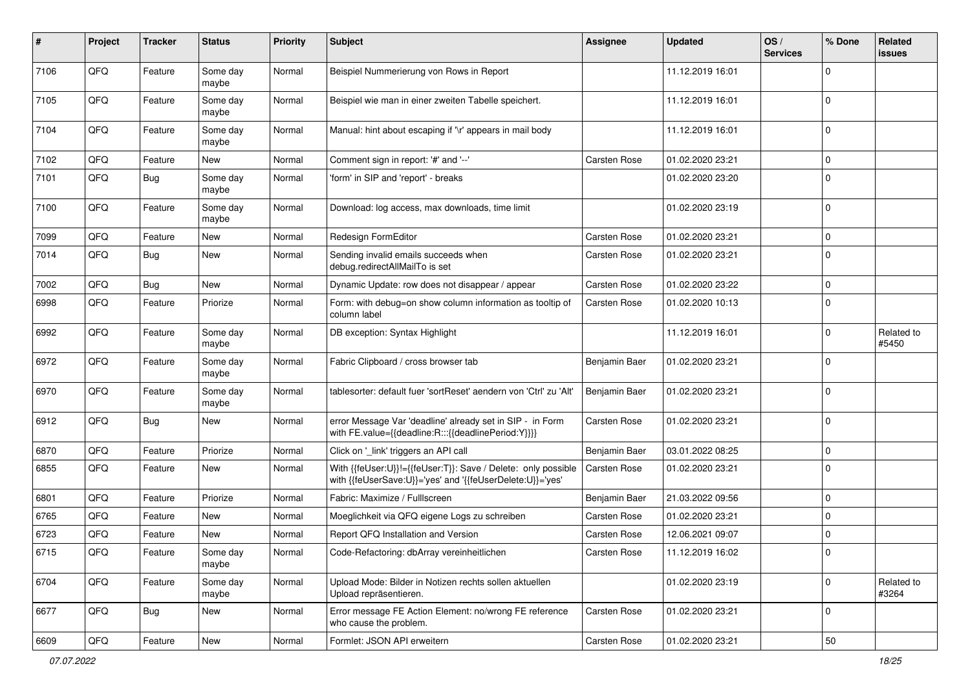| #    | Project | <b>Tracker</b> | <b>Status</b>     | Priority | <b>Subject</b>                                                                                                             | <b>Assignee</b>     | <b>Updated</b>   | OS/<br><b>Services</b> | % Done      | Related<br>issues   |
|------|---------|----------------|-------------------|----------|----------------------------------------------------------------------------------------------------------------------------|---------------------|------------------|------------------------|-------------|---------------------|
| 7106 | QFQ     | Feature        | Some day<br>maybe | Normal   | Beispiel Nummerierung von Rows in Report                                                                                   |                     | 11.12.2019 16:01 |                        | $\mathbf 0$ |                     |
| 7105 | QFQ     | Feature        | Some day<br>maybe | Normal   | Beispiel wie man in einer zweiten Tabelle speichert.                                                                       |                     | 11.12.2019 16:01 |                        | $\mathbf 0$ |                     |
| 7104 | QFQ     | Feature        | Some day<br>maybe | Normal   | Manual: hint about escaping if '\r' appears in mail body                                                                   |                     | 11.12.2019 16:01 |                        | $\Omega$    |                     |
| 7102 | QFQ     | Feature        | <b>New</b>        | Normal   | Comment sign in report: '#' and '--'                                                                                       | Carsten Rose        | 01.02.2020 23:21 |                        | $\mathbf 0$ |                     |
| 7101 | QFQ     | Bug            | Some day<br>maybe | Normal   | 'form' in SIP and 'report' - breaks                                                                                        |                     | 01.02.2020 23:20 |                        | $\mathbf 0$ |                     |
| 7100 | QFQ     | Feature        | Some day<br>maybe | Normal   | Download: log access, max downloads, time limit                                                                            |                     | 01.02.2020 23:19 |                        | $\mathbf 0$ |                     |
| 7099 | QFQ     | Feature        | <b>New</b>        | Normal   | Redesign FormEditor                                                                                                        | Carsten Rose        | 01.02.2020 23:21 |                        | $\mathbf 0$ |                     |
| 7014 | QFQ     | Bug            | <b>New</b>        | Normal   | Sending invalid emails succeeds when<br>debug.redirectAllMailTo is set                                                     | Carsten Rose        | 01.02.2020 23:21 |                        | $\Omega$    |                     |
| 7002 | QFQ     | <b>Bug</b>     | New               | Normal   | Dynamic Update: row does not disappear / appear                                                                            | <b>Carsten Rose</b> | 01.02.2020 23:22 |                        | $\mathbf 0$ |                     |
| 6998 | QFQ     | Feature        | Priorize          | Normal   | Form: with debug=on show column information as tooltip of<br>column label                                                  | Carsten Rose        | 01.02.2020 10:13 |                        | $\Omega$    |                     |
| 6992 | QFQ     | Feature        | Some day<br>maybe | Normal   | DB exception: Syntax Highlight                                                                                             |                     | 11.12.2019 16:01 |                        | $\mathbf 0$ | Related to<br>#5450 |
| 6972 | QFQ     | Feature        | Some day<br>maybe | Normal   | Fabric Clipboard / cross browser tab                                                                                       | Benjamin Baer       | 01.02.2020 23:21 |                        | $\mathbf 0$ |                     |
| 6970 | QFQ     | Feature        | Some day<br>maybe | Normal   | tablesorter: default fuer 'sortReset' aendern von 'Ctrl' zu 'Alt'                                                          | Benjamin Baer       | 01.02.2020 23:21 |                        | $\mathbf 0$ |                     |
| 6912 | QFQ     | <b>Bug</b>     | <b>New</b>        | Normal   | error Message Var 'deadline' already set in SIP - in Form<br>with FE.value={{deadline:R:::{{deadlinePeriod:Y}}}}           | Carsten Rose        | 01.02.2020 23:21 |                        | $\mathbf 0$ |                     |
| 6870 | QFQ     | Feature        | Priorize          | Normal   | Click on '_link' triggers an API call                                                                                      | Benjamin Baer       | 03.01.2022 08:25 |                        | $\mathbf 0$ |                     |
| 6855 | QFQ     | Feature        | New               | Normal   | With {{feUser:U}}!={{feUser:T}}: Save / Delete: only possible<br>with {{feUserSave:U}}='yes' and '{{feUserDelete:U}}='yes' | Carsten Rose        | 01.02.2020 23:21 |                        | $\mathbf 0$ |                     |
| 6801 | QFQ     | Feature        | Priorize          | Normal   | Fabric: Maximize / FullIscreen                                                                                             | Benjamin Baer       | 21.03.2022 09:56 |                        | $\mathbf 0$ |                     |
| 6765 | QFQ     | Feature        | New               | Normal   | Moeglichkeit via QFQ eigene Logs zu schreiben                                                                              | Carsten Rose        | 01.02.2020 23:21 |                        | $\mathbf 0$ |                     |
| 6723 | QFQ     | Feature        | New               | Normal   | Report QFQ Installation and Version                                                                                        | <b>Carsten Rose</b> | 12.06.2021 09:07 |                        | $\mathbf 0$ |                     |
| 6715 | QFQ     | Feature        | Some day<br>maybe | Normal   | Code-Refactoring: dbArray vereinheitlichen                                                                                 | Carsten Rose        | 11.12.2019 16:02 |                        | 0           |                     |
| 6704 | QFQ     | Feature        | Some day<br>maybe | Normal   | Upload Mode: Bilder in Notizen rechts sollen aktuellen<br>Upload repräsentieren.                                           |                     | 01.02.2020 23:19 |                        | $\mathbf 0$ | Related to<br>#3264 |
| 6677 | QFQ     | <b>Bug</b>     | New               | Normal   | Error message FE Action Element: no/wrong FE reference<br>who cause the problem.                                           | Carsten Rose        | 01.02.2020 23:21 |                        | 0           |                     |
| 6609 | QFG     | Feature        | New               | Normal   | Formlet: JSON API erweitern                                                                                                | Carsten Rose        | 01.02.2020 23:21 |                        | 50          |                     |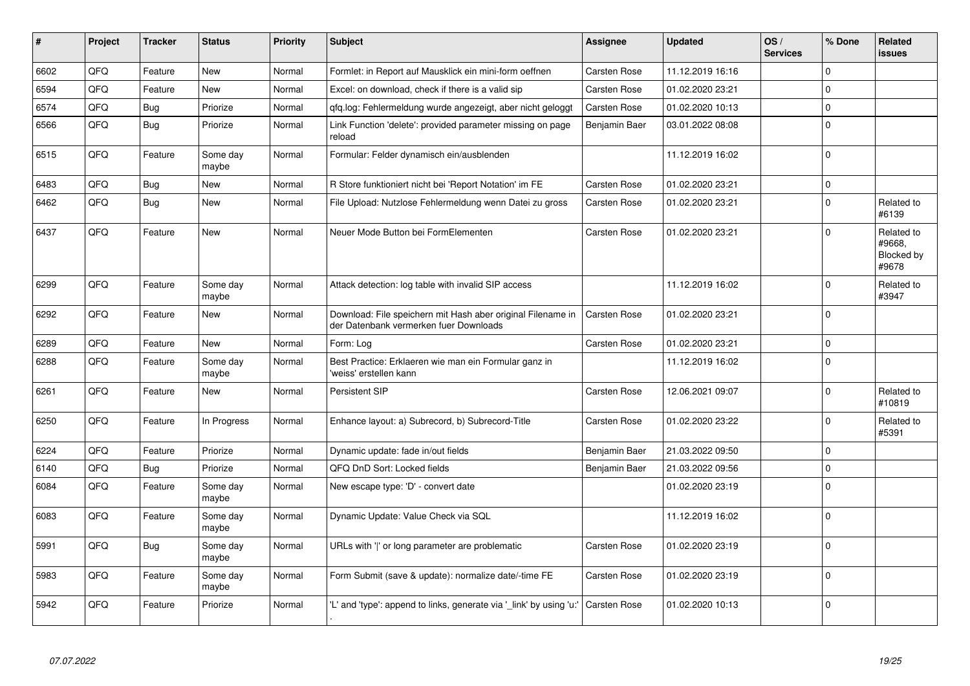| #    | Project | <b>Tracker</b> | <b>Status</b>     | <b>Priority</b> | <b>Subject</b>                                                                                        | <b>Assignee</b>     | <b>Updated</b>   | OS/<br><b>Services</b> | % Done      | Related<br><b>issues</b>                    |
|------|---------|----------------|-------------------|-----------------|-------------------------------------------------------------------------------------------------------|---------------------|------------------|------------------------|-------------|---------------------------------------------|
| 6602 | QFQ     | Feature        | <b>New</b>        | Normal          | Formlet: in Report auf Mausklick ein mini-form oeffnen                                                | Carsten Rose        | 11.12.2019 16:16 |                        | $\Omega$    |                                             |
| 6594 | QFQ     | Feature        | New               | Normal          | Excel: on download, check if there is a valid sip                                                     | Carsten Rose        | 01.02.2020 23:21 |                        | $\mathbf 0$ |                                             |
| 6574 | QFQ     | Bug            | Priorize          | Normal          | qfq.log: Fehlermeldung wurde angezeigt, aber nicht geloggt                                            | Carsten Rose        | 01.02.2020 10:13 |                        | $\pmb{0}$   |                                             |
| 6566 | QFQ     | <b>Bug</b>     | Priorize          | Normal          | Link Function 'delete': provided parameter missing on page<br>reload                                  | Benjamin Baer       | 03.01.2022 08:08 |                        | $\mathbf 0$ |                                             |
| 6515 | QFQ     | Feature        | Some day<br>maybe | Normal          | Formular: Felder dynamisch ein/ausblenden                                                             |                     | 11.12.2019 16:02 |                        | $\mathbf 0$ |                                             |
| 6483 | QFQ     | <b>Bug</b>     | New               | Normal          | R Store funktioniert nicht bei 'Report Notation' im FE                                                | Carsten Rose        | 01.02.2020 23:21 |                        | $\pmb{0}$   |                                             |
| 6462 | QFQ     | Bug            | <b>New</b>        | Normal          | File Upload: Nutzlose Fehlermeldung wenn Datei zu gross                                               | <b>Carsten Rose</b> | 01.02.2020 23:21 |                        | $\mathbf 0$ | Related to<br>#6139                         |
| 6437 | QFQ     | Feature        | <b>New</b>        | Normal          | Neuer Mode Button bei FormElementen                                                                   | <b>Carsten Rose</b> | 01.02.2020 23:21 |                        | $\Omega$    | Related to<br>#9668.<br>Blocked by<br>#9678 |
| 6299 | QFQ     | Feature        | Some day<br>maybe | Normal          | Attack detection: log table with invalid SIP access                                                   |                     | 11.12.2019 16:02 |                        | $\mathbf 0$ | Related to<br>#3947                         |
| 6292 | QFQ     | Feature        | <b>New</b>        | Normal          | Download: File speichern mit Hash aber original Filename in<br>der Datenbank vermerken fuer Downloads | <b>Carsten Rose</b> | 01.02.2020 23:21 |                        | $\mathbf 0$ |                                             |
| 6289 | QFQ     | Feature        | <b>New</b>        | Normal          | Form: Log                                                                                             | Carsten Rose        | 01.02.2020 23:21 |                        | $\pmb{0}$   |                                             |
| 6288 | QFQ     | Feature        | Some day<br>maybe | Normal          | Best Practice: Erklaeren wie man ein Formular ganz in<br>'weiss' erstellen kann                       |                     | 11.12.2019 16:02 |                        | $\mathbf 0$ |                                             |
| 6261 | QFQ     | Feature        | <b>New</b>        | Normal          | Persistent SIP                                                                                        | <b>Carsten Rose</b> | 12.06.2021 09:07 |                        | $\mathbf 0$ | Related to<br>#10819                        |
| 6250 | QFQ     | Feature        | In Progress       | Normal          | Enhance layout: a) Subrecord, b) Subrecord-Title                                                      | <b>Carsten Rose</b> | 01.02.2020 23:22 |                        | $\mathbf 0$ | Related to<br>#5391                         |
| 6224 | QFQ     | Feature        | Priorize          | Normal          | Dynamic update: fade in/out fields                                                                    | Benjamin Baer       | 21.03.2022 09:50 |                        | $\mathbf 0$ |                                             |
| 6140 | QFQ     | Bug            | Priorize          | Normal          | QFQ DnD Sort: Locked fields                                                                           | Benjamin Baer       | 21.03.2022 09:56 |                        | $\mathbf 0$ |                                             |
| 6084 | QFQ     | Feature        | Some day<br>maybe | Normal          | New escape type: 'D' - convert date                                                                   |                     | 01.02.2020 23:19 |                        | $\Omega$    |                                             |
| 6083 | QFQ     | Feature        | Some day<br>maybe | Normal          | Dynamic Update: Value Check via SQL                                                                   |                     | 11.12.2019 16:02 |                        | $\Omega$    |                                             |
| 5991 | QFQ     | <b>Bug</b>     | Some day<br>maybe | Normal          | URLs with 'I' or long parameter are problematic                                                       | Carsten Rose        | 01.02.2020 23:19 |                        | $\Omega$    |                                             |
| 5983 | QFQ     | Feature        | Some day<br>maybe | Normal          | Form Submit (save & update): normalize date/-time FE                                                  | <b>Carsten Rose</b> | 01.02.2020 23:19 |                        | $\mathbf 0$ |                                             |
| 5942 | QFQ     | Feature        | Priorize          | Normal          | "L' and 'type': append to links, generate via ' link' by using 'u:'                                   | <b>Carsten Rose</b> | 01.02.2020 10:13 |                        | $\Omega$    |                                             |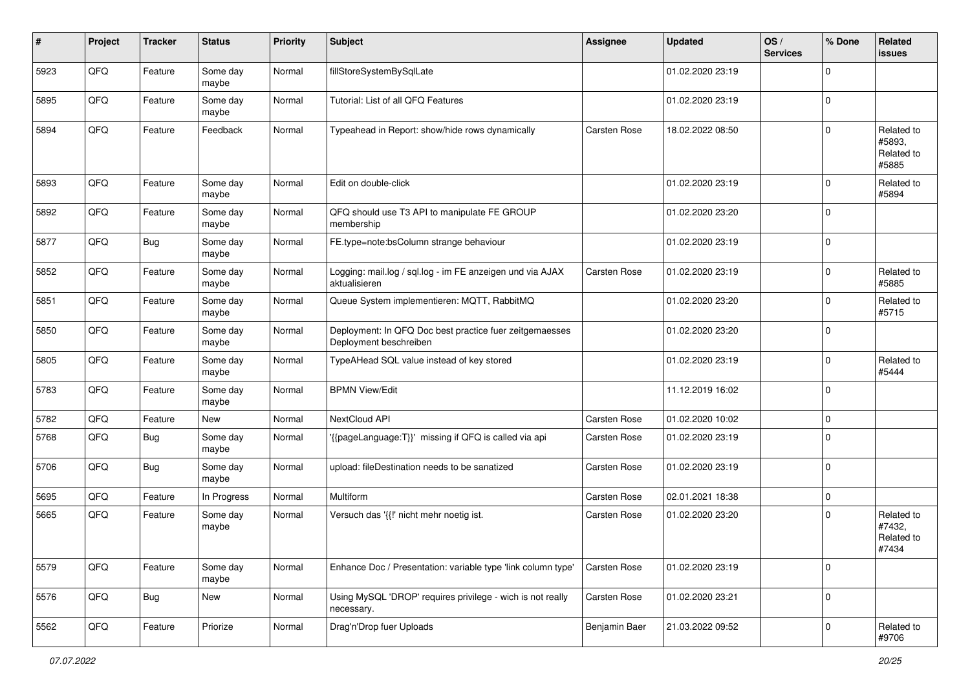| #    | Project | <b>Tracker</b> | <b>Status</b>     | <b>Priority</b> | <b>Subject</b>                                                                    | <b>Assignee</b>     | <b>Updated</b>   | OS/<br><b>Services</b> | % Done      | Related<br><b>issues</b>                    |
|------|---------|----------------|-------------------|-----------------|-----------------------------------------------------------------------------------|---------------------|------------------|------------------------|-------------|---------------------------------------------|
| 5923 | QFQ     | Feature        | Some day<br>maybe | Normal          | fillStoreSystemBySqlLate                                                          |                     | 01.02.2020 23:19 |                        | $\Omega$    |                                             |
| 5895 | QFQ     | Feature        | Some day<br>maybe | Normal          | Tutorial: List of all QFQ Features                                                |                     | 01.02.2020 23:19 |                        | $\mathbf 0$ |                                             |
| 5894 | QFQ     | Feature        | Feedback          | Normal          | Typeahead in Report: show/hide rows dynamically                                   | <b>Carsten Rose</b> | 18.02.2022 08:50 |                        | $\Omega$    | Related to<br>#5893,<br>Related to<br>#5885 |
| 5893 | QFQ     | Feature        | Some day<br>maybe | Normal          | Edit on double-click                                                              |                     | 01.02.2020 23:19 |                        | $\Omega$    | Related to<br>#5894                         |
| 5892 | QFQ     | Feature        | Some day<br>maybe | Normal          | QFQ should use T3 API to manipulate FE GROUP<br>membership                        |                     | 01.02.2020 23:20 |                        | $\mathbf 0$ |                                             |
| 5877 | QFQ     | <b>Bug</b>     | Some day<br>maybe | Normal          | FE.type=note:bsColumn strange behaviour                                           |                     | 01.02.2020 23:19 |                        | $\mathbf 0$ |                                             |
| 5852 | QFQ     | Feature        | Some day<br>maybe | Normal          | Logging: mail.log / sql.log - im FE anzeigen und via AJAX<br>aktualisieren        | Carsten Rose        | 01.02.2020 23:19 |                        | $\mathbf 0$ | Related to<br>#5885                         |
| 5851 | QFQ     | Feature        | Some day<br>maybe | Normal          | Queue System implementieren: MQTT, RabbitMQ                                       |                     | 01.02.2020 23:20 |                        | $\mathbf 0$ | Related to<br>#5715                         |
| 5850 | QFQ     | Feature        | Some day<br>maybe | Normal          | Deployment: In QFQ Doc best practice fuer zeitgemaesses<br>Deployment beschreiben |                     | 01.02.2020 23:20 |                        | $\Omega$    |                                             |
| 5805 | QFQ     | Feature        | Some day<br>maybe | Normal          | TypeAHead SQL value instead of key stored                                         |                     | 01.02.2020 23:19 |                        | $\mathbf 0$ | Related to<br>#5444                         |
| 5783 | QFQ     | Feature        | Some day<br>maybe | Normal          | <b>BPMN View/Edit</b>                                                             |                     | 11.12.2019 16:02 |                        | $\Omega$    |                                             |
| 5782 | QFQ     | Feature        | New               | Normal          | NextCloud API                                                                     | Carsten Rose        | 01.02.2020 10:02 |                        | $\mathbf 0$ |                                             |
| 5768 | QFQ     | Bug            | Some day<br>maybe | Normal          | '{{pageLanguage:T}}' missing if QFQ is called via api                             | Carsten Rose        | 01.02.2020 23:19 |                        | $\Omega$    |                                             |
| 5706 | QFQ     | Bug            | Some day<br>maybe | Normal          | upload: fileDestination needs to be sanatized                                     | Carsten Rose        | 01.02.2020 23:19 |                        | $\mathbf 0$ |                                             |
| 5695 | QFQ     | Feature        | In Progress       | Normal          | Multiform                                                                         | Carsten Rose        | 02.01.2021 18:38 |                        | $\mathbf 0$ |                                             |
| 5665 | QFQ     | Feature        | Some day<br>maybe | Normal          | Versuch das '{{!' nicht mehr noetig ist.                                          | <b>Carsten Rose</b> | 01.02.2020 23:20 |                        | $\mathbf 0$ | Related to<br>#7432,<br>Related to<br>#7434 |
| 5579 | QFQ     | Feature        | Some day<br>maybe | Normal          | Enhance Doc / Presentation: variable type 'link column type'                      | Carsten Rose        | 01.02.2020 23:19 |                        | $\mathbf 0$ |                                             |
| 5576 | QFQ     | Bug            | New               | Normal          | Using MySQL 'DROP' requires privilege - wich is not really<br>necessary.          | Carsten Rose        | 01.02.2020 23:21 |                        | $\mathbf 0$ |                                             |
| 5562 | QFQ     | Feature        | Priorize          | Normal          | Drag'n'Drop fuer Uploads                                                          | Benjamin Baer       | 21.03.2022 09:52 |                        | $\mathbf 0$ | Related to<br>#9706                         |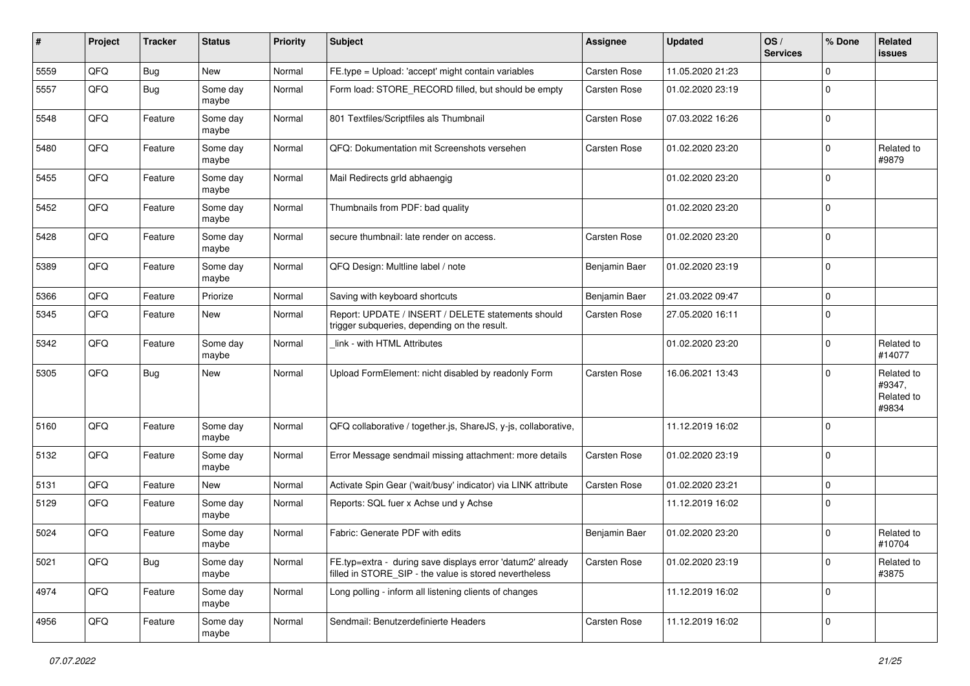| ∦    | Project | <b>Tracker</b> | <b>Status</b>     | <b>Priority</b> | <b>Subject</b>                                                                                                       | Assignee            | <b>Updated</b>   | OS/<br><b>Services</b> | % Done      | Related<br>issues                           |
|------|---------|----------------|-------------------|-----------------|----------------------------------------------------------------------------------------------------------------------|---------------------|------------------|------------------------|-------------|---------------------------------------------|
| 5559 | QFQ     | <b>Bug</b>     | New               | Normal          | FE.type = Upload: 'accept' might contain variables                                                                   | <b>Carsten Rose</b> | 11.05.2020 21:23 |                        | $\Omega$    |                                             |
| 5557 | QFQ     | <b>Bug</b>     | Some day<br>maybe | Normal          | Form load: STORE_RECORD filled, but should be empty                                                                  | <b>Carsten Rose</b> | 01.02.2020 23:19 |                        | 0           |                                             |
| 5548 | QFQ     | Feature        | Some day<br>maybe | Normal          | 801 Textfiles/Scriptfiles als Thumbnail                                                                              | <b>Carsten Rose</b> | 07.03.2022 16:26 |                        | $\mathbf 0$ |                                             |
| 5480 | QFQ     | Feature        | Some day<br>maybe | Normal          | QFQ: Dokumentation mit Screenshots versehen                                                                          | <b>Carsten Rose</b> | 01.02.2020 23:20 |                        | $\mathbf 0$ | Related to<br>#9879                         |
| 5455 | QFQ     | Feature        | Some day<br>maybe | Normal          | Mail Redirects grld abhaengig                                                                                        |                     | 01.02.2020 23:20 |                        | $\Omega$    |                                             |
| 5452 | QFQ     | Feature        | Some day<br>maybe | Normal          | Thumbnails from PDF: bad quality                                                                                     |                     | 01.02.2020 23:20 |                        | $\mathbf 0$ |                                             |
| 5428 | QFQ     | Feature        | Some day<br>maybe | Normal          | secure thumbnail: late render on access.                                                                             | <b>Carsten Rose</b> | 01.02.2020 23:20 |                        | $\mathbf 0$ |                                             |
| 5389 | QFQ     | Feature        | Some day<br>maybe | Normal          | QFQ Design: Multline label / note                                                                                    | Benjamin Baer       | 01.02.2020 23:19 |                        | $\mathbf 0$ |                                             |
| 5366 | QFQ     | Feature        | Priorize          | Normal          | Saving with keyboard shortcuts                                                                                       | Benjamin Baer       | 21.03.2022 09:47 |                        | $\Omega$    |                                             |
| 5345 | QFQ     | Feature        | New               | Normal          | Report: UPDATE / INSERT / DELETE statements should<br>trigger subqueries, depending on the result.                   | <b>Carsten Rose</b> | 27.05.2020 16:11 |                        | $\Omega$    |                                             |
| 5342 | QFQ     | Feature        | Some day<br>maybe | Normal          | link - with HTML Attributes                                                                                          |                     | 01.02.2020 23:20 |                        | $\Omega$    | Related to<br>#14077                        |
| 5305 | QFQ     | <b>Bug</b>     | New               | Normal          | Upload FormElement: nicht disabled by readonly Form                                                                  | <b>Carsten Rose</b> | 16.06.2021 13:43 |                        | $\Omega$    | Related to<br>#9347,<br>Related to<br>#9834 |
| 5160 | QFQ     | Feature        | Some day<br>maybe | Normal          | QFQ collaborative / together.js, ShareJS, y-js, collaborative,                                                       |                     | 11.12.2019 16:02 |                        | $\Omega$    |                                             |
| 5132 | QFQ     | Feature        | Some day<br>maybe | Normal          | Error Message sendmail missing attachment: more details                                                              | Carsten Rose        | 01.02.2020 23:19 |                        | $\mathbf 0$ |                                             |
| 5131 | QFQ     | Feature        | <b>New</b>        | Normal          | Activate Spin Gear ('wait/busy' indicator) via LINK attribute                                                        | <b>Carsten Rose</b> | 01.02.2020 23:21 |                        | $\mathbf 0$ |                                             |
| 5129 | QFQ     | Feature        | Some day<br>maybe | Normal          | Reports: SQL fuer x Achse und y Achse                                                                                |                     | 11.12.2019 16:02 |                        | 0           |                                             |
| 5024 | QFQ     | Feature        | Some day<br>maybe | Normal          | Fabric: Generate PDF with edits                                                                                      | Benjamin Baer       | 01.02.2020 23:20 |                        | $\mathbf 0$ | Related to<br>#10704                        |
| 5021 | QFQ     | Bug            | Some day<br>maybe | Normal          | FE.typ=extra - during save displays error 'datum2' already<br>filled in STORE_SIP - the value is stored nevertheless | <b>Carsten Rose</b> | 01.02.2020 23:19 |                        | $\mathbf 0$ | Related to<br>#3875                         |
| 4974 | QFQ     | Feature        | Some day<br>maybe | Normal          | Long polling - inform all listening clients of changes                                                               |                     | 11.12.2019 16:02 |                        | $\mathbf 0$ |                                             |
| 4956 | QFQ     | Feature        | Some day<br>maybe | Normal          | Sendmail: Benutzerdefinierte Headers                                                                                 | Carsten Rose        | 11.12.2019 16:02 |                        | $\mathbf 0$ |                                             |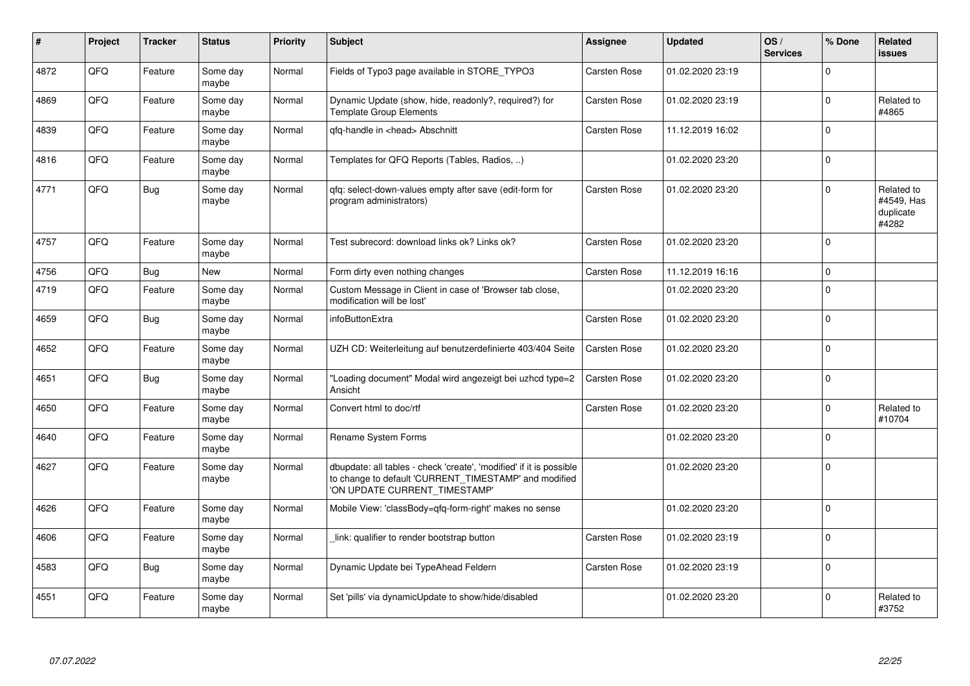| ∦    | Project | <b>Tracker</b> | <b>Status</b>     | <b>Priority</b> | <b>Subject</b>                                                                                                                                                | <b>Assignee</b>     | Updated          | OS/<br><b>Services</b> | % Done      | Related<br><b>issues</b>                       |
|------|---------|----------------|-------------------|-----------------|---------------------------------------------------------------------------------------------------------------------------------------------------------------|---------------------|------------------|------------------------|-------------|------------------------------------------------|
| 4872 | QFQ     | Feature        | Some day<br>maybe | Normal          | Fields of Typo3 page available in STORE_TYPO3                                                                                                                 | Carsten Rose        | 01.02.2020 23:19 |                        | $\Omega$    |                                                |
| 4869 | QFQ     | Feature        | Some day<br>maybe | Normal          | Dynamic Update (show, hide, readonly?, required?) for<br><b>Template Group Elements</b>                                                                       | <b>Carsten Rose</b> | 01.02.2020 23:19 |                        | $\mathbf 0$ | Related to<br>#4865                            |
| 4839 | QFQ     | Feature        | Some day<br>maybe | Normal          | qfq-handle in <head> Abschnitt</head>                                                                                                                         | <b>Carsten Rose</b> | 11.12.2019 16:02 |                        | $\mathbf 0$ |                                                |
| 4816 | QFQ     | Feature        | Some day<br>maybe | Normal          | Templates for QFQ Reports (Tables, Radios, )                                                                                                                  |                     | 01.02.2020 23:20 |                        | $\mathbf 0$ |                                                |
| 4771 | QFQ     | <b>Bug</b>     | Some day<br>maybe | Normal          | qfq: select-down-values empty after save (edit-form for<br>program administrators)                                                                            | Carsten Rose        | 01.02.2020 23:20 |                        | $\Omega$    | Related to<br>#4549, Has<br>duplicate<br>#4282 |
| 4757 | QFQ     | Feature        | Some day<br>maybe | Normal          | Test subrecord: download links ok? Links ok?                                                                                                                  | <b>Carsten Rose</b> | 01.02.2020 23:20 |                        | $\Omega$    |                                                |
| 4756 | QFQ     | <b>Bug</b>     | New               | Normal          | Form dirty even nothing changes                                                                                                                               | <b>Carsten Rose</b> | 11.12.2019 16:16 |                        | $\mathbf 0$ |                                                |
| 4719 | QFQ     | Feature        | Some day<br>maybe | Normal          | Custom Message in Client in case of 'Browser tab close,<br>modification will be lost'                                                                         |                     | 01.02.2020 23:20 |                        | $\Omega$    |                                                |
| 4659 | QFQ     | Bug            | Some day<br>maybe | Normal          | infoButtonExtra                                                                                                                                               | <b>Carsten Rose</b> | 01.02.2020 23:20 |                        | $\mathbf 0$ |                                                |
| 4652 | QFQ     | Feature        | Some day<br>maybe | Normal          | UZH CD: Weiterleitung auf benutzerdefinierte 403/404 Seite                                                                                                    | <b>Carsten Rose</b> | 01.02.2020 23:20 |                        | $\mathbf 0$ |                                                |
| 4651 | QFQ     | Bug            | Some day<br>maybe | Normal          | Loading document" Modal wird angezeigt bei uzhcd type=2<br>Ansicht                                                                                            | Carsten Rose        | 01.02.2020 23:20 |                        | $\Omega$    |                                                |
| 4650 | QFQ     | Feature        | Some day<br>maybe | Normal          | Convert html to doc/rtf                                                                                                                                       | Carsten Rose        | 01.02.2020 23:20 |                        | $\Omega$    | Related to<br>#10704                           |
| 4640 | QFQ     | Feature        | Some day<br>maybe | Normal          | Rename System Forms                                                                                                                                           |                     | 01.02.2020 23:20 |                        | $\mathbf 0$ |                                                |
| 4627 | QFQ     | Feature        | Some day<br>maybe | Normal          | dbupdate: all tables - check 'create', 'modified' if it is possible<br>to change to default 'CURRENT_TIMESTAMP' and modified<br>'ON UPDATE CURRENT_TIMESTAMP' |                     | 01.02.2020 23:20 |                        | $\mathbf 0$ |                                                |
| 4626 | QFQ     | Feature        | Some day<br>maybe | Normal          | Mobile View: 'classBody=qfq-form-right' makes no sense                                                                                                        |                     | 01.02.2020 23:20 |                        | $\Omega$    |                                                |
| 4606 | QFO     | Feature        | Some day<br>maybe | Normal          | link: qualifier to render bootstrap button                                                                                                                    | Carsten Rose        | 01.02.2020 23:19 |                        | $\Omega$    |                                                |
| 4583 | QFQ     | Bug            | Some day<br>maybe | Normal          | Dynamic Update bei TypeAhead Feldern                                                                                                                          | Carsten Rose        | 01.02.2020 23:19 |                        | $\Omega$    |                                                |
| 4551 | QFQ     | Feature        | Some day<br>maybe | Normal          | Set 'pills' via dynamicUpdate to show/hide/disabled                                                                                                           |                     | 01.02.2020 23:20 |                        | $\mathbf 0$ | Related to<br>#3752                            |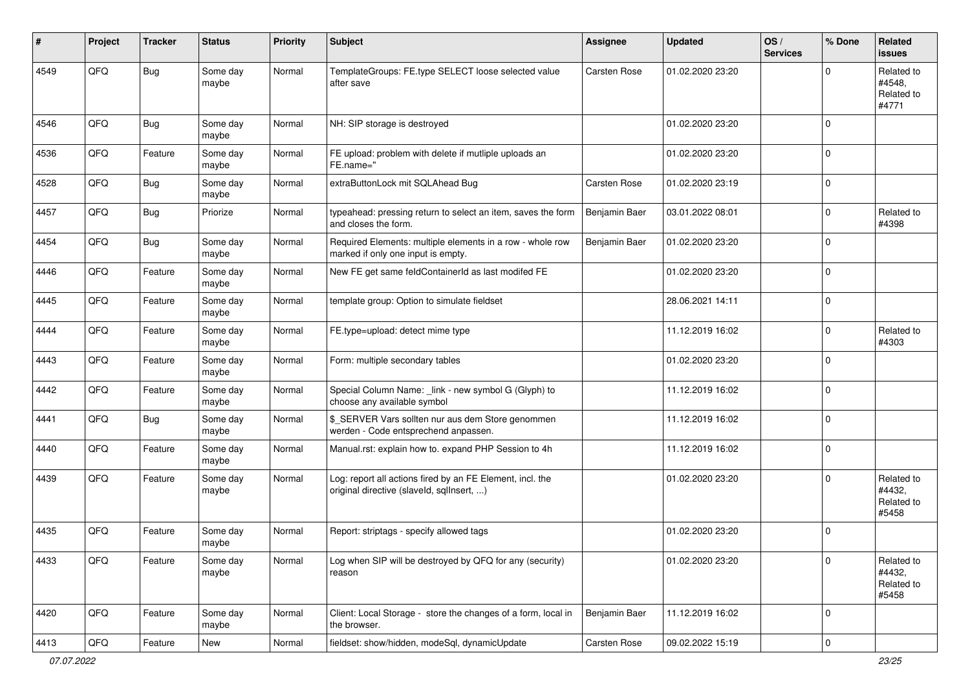| ∦    | Project | <b>Tracker</b> | <b>Status</b>     | <b>Priority</b> | <b>Subject</b>                                                                                         | Assignee            | <b>Updated</b>   | OS/<br><b>Services</b> | % Done      | Related<br>issues                           |
|------|---------|----------------|-------------------|-----------------|--------------------------------------------------------------------------------------------------------|---------------------|------------------|------------------------|-------------|---------------------------------------------|
| 4549 | QFQ     | Bug            | Some day<br>maybe | Normal          | TemplateGroups: FE.type SELECT loose selected value<br>after save                                      | <b>Carsten Rose</b> | 01.02.2020 23:20 |                        | $\Omega$    | Related to<br>#4548.<br>Related to<br>#4771 |
| 4546 | QFQ     | <b>Bug</b>     | Some day<br>maybe | Normal          | NH: SIP storage is destroyed                                                                           |                     | 01.02.2020 23:20 |                        | $\Omega$    |                                             |
| 4536 | QFQ     | Feature        | Some day<br>maybe | Normal          | FE upload: problem with delete if mutliple uploads an<br>FE.name="                                     |                     | 01.02.2020 23:20 |                        | $\mathbf 0$ |                                             |
| 4528 | QFQ     | Bug            | Some day<br>maybe | Normal          | extraButtonLock mit SQLAhead Bug                                                                       | <b>Carsten Rose</b> | 01.02.2020 23:19 |                        | $\mathbf 0$ |                                             |
| 4457 | QFQ     | Bug            | Priorize          | Normal          | typeahead: pressing return to select an item, saves the form<br>and closes the form.                   | Benjamin Baer       | 03.01.2022 08:01 |                        | 0           | Related to<br>#4398                         |
| 4454 | QFQ     | Bug            | Some day<br>maybe | Normal          | Required Elements: multiple elements in a row - whole row<br>marked if only one input is empty.        | Benjamin Baer       | 01.02.2020 23:20 |                        | $\mathbf 0$ |                                             |
| 4446 | QFQ     | Feature        | Some day<br>maybe | Normal          | New FE get same feldContainerId as last modifed FE                                                     |                     | 01.02.2020 23:20 |                        | $\mathbf 0$ |                                             |
| 4445 | QFQ     | Feature        | Some day<br>maybe | Normal          | template group: Option to simulate fieldset                                                            |                     | 28.06.2021 14:11 |                        | $\mathbf 0$ |                                             |
| 4444 | QFQ     | Feature        | Some day<br>maybe | Normal          | FE.type=upload: detect mime type                                                                       |                     | 11.12.2019 16:02 |                        | $\Omega$    | Related to<br>#4303                         |
| 4443 | QFQ     | Feature        | Some day<br>maybe | Normal          | Form: multiple secondary tables                                                                        |                     | 01.02.2020 23:20 |                        | $\mathbf 0$ |                                             |
| 4442 | QFQ     | Feature        | Some day<br>maybe | Normal          | Special Column Name: _link - new symbol G (Glyph) to<br>choose any available symbol                    |                     | 11.12.2019 16:02 |                        | $\mathbf 0$ |                                             |
| 4441 | QFQ     | Bug            | Some day<br>maybe | Normal          | \$_SERVER Vars sollten nur aus dem Store genommen<br>werden - Code entsprechend anpassen.              |                     | 11.12.2019 16:02 |                        | $\Omega$    |                                             |
| 4440 | QFQ     | Feature        | Some day<br>maybe | Normal          | Manual.rst: explain how to. expand PHP Session to 4h                                                   |                     | 11.12.2019 16:02 |                        | $\mathbf 0$ |                                             |
| 4439 | QFQ     | Feature        | Some day<br>maybe | Normal          | Log: report all actions fired by an FE Element, incl. the<br>original directive (slaveld, sqlInsert, ) |                     | 01.02.2020 23:20 |                        | $\Omega$    | Related to<br>#4432.<br>Related to<br>#5458 |
| 4435 | QFQ     | Feature        | Some day<br>maybe | Normal          | Report: striptags - specify allowed tags                                                               |                     | 01.02.2020 23:20 |                        | $\mathbf 0$ |                                             |
| 4433 | QFO     | Feature        | Some day<br>maybe | Normal          | Log when SIP will be destroyed by QFQ for any (security)<br>reason                                     |                     | 01.02.2020 23:20 |                        | $\mathbf 0$ | Related to<br>#4432,<br>Related to<br>#5458 |
| 4420 | QFQ     | Feature        | Some day<br>maybe | Normal          | Client: Local Storage - store the changes of a form, local in<br>the browser.                          | Benjamin Baer       | 11.12.2019 16:02 |                        | $\mathbf 0$ |                                             |
| 4413 | QFQ     | Feature        | New               | Normal          | fieldset: show/hidden, modeSql, dynamicUpdate                                                          | Carsten Rose        | 09.02.2022 15:19 |                        | $\pmb{0}$   |                                             |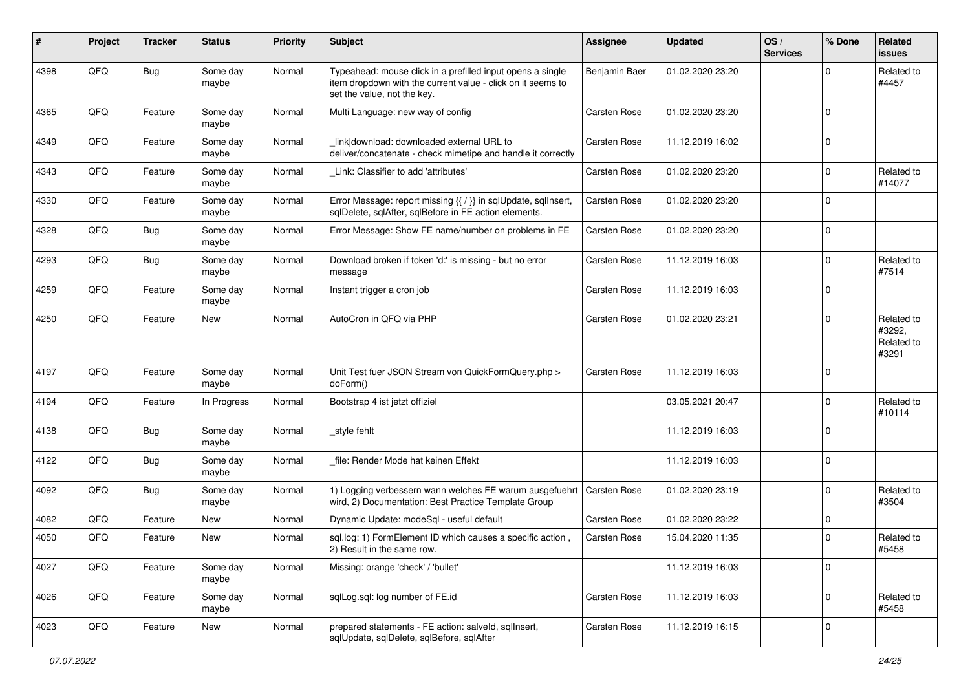| #    | Project | <b>Tracker</b> | <b>Status</b>     | <b>Priority</b> | <b>Subject</b>                                                                                                                                           | Assignee            | <b>Updated</b>   | OS/<br><b>Services</b> | % Done      | Related<br>issues                           |
|------|---------|----------------|-------------------|-----------------|----------------------------------------------------------------------------------------------------------------------------------------------------------|---------------------|------------------|------------------------|-------------|---------------------------------------------|
| 4398 | QFQ     | <b>Bug</b>     | Some day<br>maybe | Normal          | Typeahead: mouse click in a prefilled input opens a single<br>item dropdown with the current value - click on it seems to<br>set the value, not the key. | Benjamin Baer       | 01.02.2020 23:20 |                        | $\Omega$    | Related to<br>#4457                         |
| 4365 | QFQ     | Feature        | Some day<br>maybe | Normal          | Multi Language: new way of config                                                                                                                        | <b>Carsten Rose</b> | 01.02.2020 23:20 |                        | $\Omega$    |                                             |
| 4349 | QFQ     | Feature        | Some day<br>maybe | Normal          | link download: downloaded external URL to<br>deliver/concatenate - check mimetipe and handle it correctly                                                | Carsten Rose        | 11.12.2019 16:02 |                        | $\Omega$    |                                             |
| 4343 | QFQ     | Feature        | Some dav<br>maybe | Normal          | Link: Classifier to add 'attributes'                                                                                                                     | <b>Carsten Rose</b> | 01.02.2020 23:20 |                        | 0           | Related to<br>#14077                        |
| 4330 | QFQ     | Feature        | Some day<br>maybe | Normal          | Error Message: report missing {{ / }} in sqlUpdate, sqlInsert,<br>sqlDelete, sqlAfter, sqlBefore in FE action elements.                                  | <b>Carsten Rose</b> | 01.02.2020 23:20 |                        | $\Omega$    |                                             |
| 4328 | QFQ     | Bug            | Some day<br>maybe | Normal          | Error Message: Show FE name/number on problems in FE                                                                                                     | <b>Carsten Rose</b> | 01.02.2020 23:20 |                        | $\mathbf 0$ |                                             |
| 4293 | QFQ     | Bug            | Some day<br>maybe | Normal          | Download broken if token 'd:' is missing - but no error<br>message                                                                                       | <b>Carsten Rose</b> | 11.12.2019 16:03 |                        | $\mathbf 0$ | Related to<br>#7514                         |
| 4259 | QFQ     | Feature        | Some day<br>maybe | Normal          | Instant trigger a cron job                                                                                                                               | <b>Carsten Rose</b> | 11.12.2019 16:03 |                        | $\mathbf 0$ |                                             |
| 4250 | QFQ     | Feature        | <b>New</b>        | Normal          | AutoCron in QFQ via PHP                                                                                                                                  | <b>Carsten Rose</b> | 01.02.2020 23:21 |                        | $\Omega$    | Related to<br>#3292.<br>Related to<br>#3291 |
| 4197 | QFQ     | Feature        | Some day<br>maybe | Normal          | Unit Test fuer JSON Stream von QuickFormQuery.php ><br>doForm()                                                                                          | <b>Carsten Rose</b> | 11.12.2019 16:03 |                        | $\Omega$    |                                             |
| 4194 | QFQ     | Feature        | In Progress       | Normal          | Bootstrap 4 ist jetzt offiziel                                                                                                                           |                     | 03.05.2021 20:47 |                        | $\mathbf 0$ | Related to<br>#10114                        |
| 4138 | QFQ     | <b>Bug</b>     | Some day<br>maybe | Normal          | style fehlt                                                                                                                                              |                     | 11.12.2019 16:03 |                        | $\mathbf 0$ |                                             |
| 4122 | QFQ     | Bug            | Some day<br>maybe | Normal          | file: Render Mode hat keinen Effekt                                                                                                                      |                     | 11.12.2019 16:03 |                        | $\mathbf 0$ |                                             |
| 4092 | QFQ     | Bug            | Some day<br>maybe | Normal          | 1) Logging verbessern wann welches FE warum ausgefuehrt<br>wird, 2) Documentation: Best Practice Template Group                                          | Carsten Rose        | 01.02.2020 23:19 |                        | $\mathbf 0$ | Related to<br>#3504                         |
| 4082 | QFQ     | Feature        | <b>New</b>        | Normal          | Dynamic Update: modeSql - useful default                                                                                                                 | <b>Carsten Rose</b> | 01.02.2020 23:22 |                        | $\mathbf 0$ |                                             |
| 4050 | QFQ     | Feature        | New               | Normal          | sql.log: 1) FormElement ID which causes a specific action,<br>2) Result in the same row.                                                                 | <b>Carsten Rose</b> | 15.04.2020 11:35 |                        | $\Omega$    | Related to<br>#5458                         |
| 4027 | QFO     | Feature        | Some day<br>maybe | Normal          | Missing: orange 'check' / 'bullet'                                                                                                                       |                     | 11.12.2019 16:03 |                        | $\mathbf 0$ |                                             |
| 4026 | QFO     | Feature        | Some day<br>maybe | Normal          | sqlLog.sql: log number of FE.id                                                                                                                          | <b>Carsten Rose</b> | 11.12.2019 16:03 |                        | $\mathbf 0$ | Related to<br>#5458                         |
| 4023 | QFQ     | Feature        | New               | Normal          | prepared statements - FE action: salveld, sqlInsert,<br>sqlUpdate, sqlDelete, sqlBefore, sqlAfter                                                        | Carsten Rose        | 11.12.2019 16:15 |                        | $\mathbf 0$ |                                             |